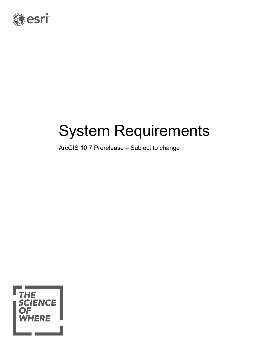

# System Requirements

ArcGIS 10.7 Prerelease – Subject to change

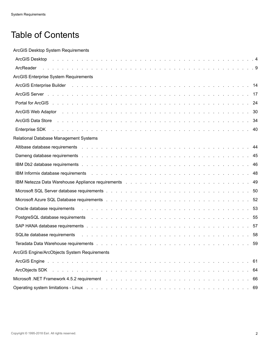# Table of Contents

ArcGIS Desktop System Requirements

| ArcGIS Desktop research and the contract of the contract of the contract of the contract of the contract of the contract of the contract of the contract of the contract of the contract of the contract of the contract of th      |  |
|-------------------------------------------------------------------------------------------------------------------------------------------------------------------------------------------------------------------------------------|--|
| ArcReader                                                                                                                                                                                                                           |  |
| <b>ArcGIS Enterprise System Requirements</b>                                                                                                                                                                                        |  |
|                                                                                                                                                                                                                                     |  |
|                                                                                                                                                                                                                                     |  |
| Portal for ArcGIS (Albert Albert Albert Albert Albert Albert Albert Albert Albert Albert Albert Albert Albert Albert Albert Albert Albert Albert Albert Albert Albert Albert Albert Albert Albert Albert Albert Albert Albert       |  |
| ArcGIS Web Adaptor research and contact the contract of the contract of the contract of the contract of the contract of the contract of the contract of the contract of the contract of the contract of the contract of the co      |  |
| ArcGIS Data Store <b>And Acceler Assembly and Acceler Acceleration</b> Acceleration and Acceleration and Acceleration Acceleration and Acceleration and Acceleration and Acceleration and Acceleration and Acceleration and Acceler |  |
| Enterprise SDK and a contract the contract of the contract of the contract of the contract of the contract of the contract of the contract of the contract of the contract of the contract of the contract of the contract of       |  |
| Relational Database Management Systems                                                                                                                                                                                              |  |
|                                                                                                                                                                                                                                     |  |
|                                                                                                                                                                                                                                     |  |
|                                                                                                                                                                                                                                     |  |
|                                                                                                                                                                                                                                     |  |
|                                                                                                                                                                                                                                     |  |
|                                                                                                                                                                                                                                     |  |
|                                                                                                                                                                                                                                     |  |
| Oracle database requirements and all and all and all and all and all and all and all and all and all and all a                                                                                                                      |  |
| PostgreSQL database requirements and all and all and all and all and all and all and all and all and all and s                                                                                                                      |  |
|                                                                                                                                                                                                                                     |  |
| SQLite database requirements and a contract to contract the contract of the contract of the contract of the contract of the contract of the contract of the contract of the contract of the contract of the contract of the co      |  |
|                                                                                                                                                                                                                                     |  |
| ArcGIS Engine/ArcObjects System Requirements                                                                                                                                                                                        |  |
|                                                                                                                                                                                                                                     |  |
| ArcObjects SDK (a) and a contract the contract of the contract of the contract of the contract of the contract of the contract of the contract of the contract of the contract of the contract of the contract of the contract      |  |
|                                                                                                                                                                                                                                     |  |
|                                                                                                                                                                                                                                     |  |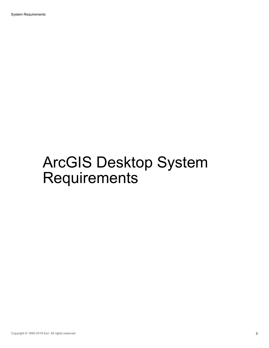System Requirements

# ArcGIS Desktop System Requirements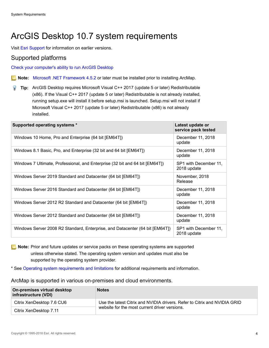# <span id="page-3-0"></span>ArcGIS Desktop 10.7 system requirements

Visit [Esri Support](http://resources.arcgis.com/en/help/previous-help/index.html) for information on earlier versions.

#### Supported platforms

[Check your computer's ability to run ArcGIS Desktop](http://cyri.systemrequirementslab.com/client/standard/?apikey=50f41142-39b0-4061-97c2-ba7b7fe43d0e&refid=1186&item=10913)

**Note:** [Microsoft .NET Framework 4.5.2](https://www.microsoft.com/en-us/download/details.aspx?id=42643) or later must be installed prior to installing ArcMap.

**Tip:** ArcGIS Desktop requires Microsoft Visual C++ 2017 (update 5 or later) Redistributable (x86). If the Visual C++ 2017 (update 5 or later) Redistributable is not already installed, running setup.exe will install it before setup.msi is launched. Setup.msi will not install if Microsoft Visual C++ 2017 (update 5 or later) Redistributable (x86) is not already installed.

| Supported operating systems *                                                | Latest update or<br>service pack tested |
|------------------------------------------------------------------------------|-----------------------------------------|
| Windows 10 Home, Pro and Enterprise (64 bit [EM64T])                         | December 11, 2018<br>update             |
| Windows 8.1 Basic, Pro, and Enterprise (32 bit and 64 bit [EM64T])           | December 11, 2018<br>update             |
| Windows 7 Ultimate, Professional, and Enterprise (32 bit and 64 bit [EM64T]) | SP1 with December 11,<br>2018 update    |
| Windows Server 2019 Standard and Datacenter (64 bit [EM64T])                 | November, 2018<br>Release               |
| Windows Server 2016 Standard and Datacenter (64 bit [EM64T])                 | December 11, 2018<br>update             |
| Windows Server 2012 R2 Standard and Datacenter (64 bit [EM64T])              | December 11, 2018<br>update             |
| Windows Server 2012 Standard and Datacenter (64 bit [EM64T])                 | December 11, 2018<br>update             |
| Windows Server 2008 R2 Standard, Enterprise, and Datacenter (64 bit [EM64T]) | SP1 with December 11,<br>2018 update    |

**Note:** Prior and future updates or service packs on these operating systems are supported unless otherwise stated. The operating system version and updates must also be supported by the operating system provider.

\* See [Operating system requirements and limitations](#page-6-0) for additional requirements and information.

ArcMap is supported in various on-premises and cloud environments.

| On-premises virtual desktop<br>infrastructure (VDI) | <b>Notes</b>                                                                                                               |
|-----------------------------------------------------|----------------------------------------------------------------------------------------------------------------------------|
| Citrix XenDesktop 7.6 CU6                           | Use the latest Citrix and NVIDIA drivers. Refer to Citrix and NVIDIA GRID<br>website for the most current driver versions. |
| Citrix XenDesktop 7.11                              |                                                                                                                            |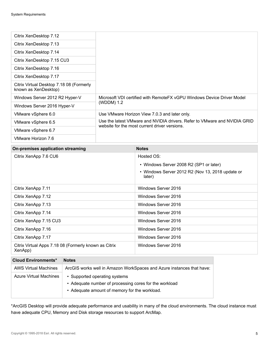| Citrix XenDesktop 7.12                                           |                                                                                                                            |  |
|------------------------------------------------------------------|----------------------------------------------------------------------------------------------------------------------------|--|
| Citrix XenDesktop 7.13                                           |                                                                                                                            |  |
| Citrix XenDesktop 7.14                                           |                                                                                                                            |  |
| Citrix XenDesktop 7.15 CU3                                       |                                                                                                                            |  |
| Citrix XenDesktop 7.16                                           |                                                                                                                            |  |
| Citrix XenDesktop 7.17                                           |                                                                                                                            |  |
| Citrix Virtual Desktop 7.18 08 (Formerly<br>known as XenDesktop) |                                                                                                                            |  |
| Windows Server 2012 R2 Hyper-V                                   | Microsoft VDI certified with RemoteFX vGPU Windows Device Driver Model                                                     |  |
| Windows Server 2016 Hyper-V                                      | (WDDM) 1.2                                                                                                                 |  |
| VMware vSphere 6.0                                               | Use VMware Horizon View 7.0.3 and later only.                                                                              |  |
| VMware vSphere 6.5                                               | Use the latest VMware and NVIDIA drivers. Refer to VMware and NVIDIA GRID<br>website for the most current driver versions. |  |
| VMware vSphere 6.7                                               |                                                                                                                            |  |
| VMware Horizon 7.6                                               |                                                                                                                            |  |

| On-premises application streaming                                | <b>Notes</b>                                               |
|------------------------------------------------------------------|------------------------------------------------------------|
| Citrix XenApp 7.6 CU6                                            | Hosted OS:                                                 |
|                                                                  | • Windows Server 2008 R2 (SP1 or later)                    |
|                                                                  | • Windows Server 2012 R2 (Nov 13, 2018 update or<br>later) |
| Citrix XenApp 7.11                                               | Windows Server 2016                                        |
| Citrix XenApp 7.12                                               | Windows Server 2016                                        |
| Citrix XenApp 7.13                                               | Windows Server 2016                                        |
| Citrix XenApp 7.14                                               | Windows Server 2016                                        |
| Citrix XenApp 7.15 CU3                                           | Windows Server 2016                                        |
| Citrix XenApp 7.16                                               | Windows Server 2016                                        |
| Citrix XenApp 7.17                                               | Windows Server 2016                                        |
| Citrix Virtual Apps 7.18 08 (Formerly known as Citrix<br>XenApp) | Windows Server 2016                                        |

| <b>Cloud Environments*</b>    | <b>Notes</b>                                                                                                                             |
|-------------------------------|------------------------------------------------------------------------------------------------------------------------------------------|
| <b>AWS Virtual Machines</b>   | ArcGIS works well in Amazon WorkSpaces and Azure instances that have:                                                                    |
| <b>Azure Virtual Machines</b> | • Supported operating systems<br>• Adequate number of processing cores for the workload<br>• Adequate amount of memory for the workload. |

\*ArcGIS Desktop will provide adequate performance and usability in many of the cloud environments. The cloud instance must have adequate CPU, Memory and Disk storage resources to support ArcMap.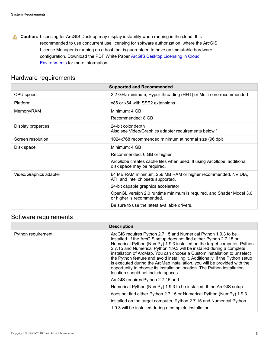**A.** Caution: Licensing for ArcGIS Desktop may display instability when running in the cloud. It is recommended to use concurrent use licensing for software authorization, where the ArcGIS License Manager is running on a host that is guaranteed to have an immutable hardware configuration. Download the PDF White Paper [ArcGIS Desktop Licensing in Cloud](http://downloads.esri.com/support/downloads/other_/arcgis_desktop_licensing_in_cloud_environments.pdf) [Environments](http://downloads.esri.com/support/downloads/other_/arcgis_desktop_licensing_in_cloud_environments.pdf) for more information.

#### Hardware requirements

|                        | <b>Supported and Recommended</b>                                                                     |
|------------------------|------------------------------------------------------------------------------------------------------|
| CPU speed              | 2.2 GHz minimum; Hyper-threading (HHT) or Multi-core recommended                                     |
| Platform               | x86 or x64 with SSE2 extensions                                                                      |
| Memory/RAM             | Minimum: 4 GB                                                                                        |
|                        | Recommended: 8 GB                                                                                    |
| Display properties     | 24-bit color depth<br>Also see Video/Graphics adapter requirements below.*                           |
| Screen resolution      | 1024x768 recommended minimum at normal size (96 dpi)                                                 |
| Disk space             | Minimum: 4 GB                                                                                        |
|                        | Recommended: 6 GB or higher                                                                          |
|                        | ArcGlobe creates cache files when used. If using ArcGlobe, additional<br>disk space may be required. |
| Video/Graphics adapter | 64 MB RAM minimum; 256 MB RAM or higher recommended. NVIDIA,<br>ATI, and Intel chipsets supported.   |
|                        | 24-bit capable graphics accelerator                                                                  |
|                        | OpenGL version 2.0 runtime minimum is required, and Shader Model 3.0<br>or higher is recommended.    |
|                        | Be sure to use the latest available drivers.                                                         |

#### Software requirements

|                    | <b>Description</b>                                                                                                                                                                                                                                                                                                                                                                                                                                                                                                                                                                                                                                      |
|--------------------|---------------------------------------------------------------------------------------------------------------------------------------------------------------------------------------------------------------------------------------------------------------------------------------------------------------------------------------------------------------------------------------------------------------------------------------------------------------------------------------------------------------------------------------------------------------------------------------------------------------------------------------------------------|
| Python requirement | ArcGIS requires Python 2.7.15 and Numerical Python 1.9.3 to be<br>installed. If the ArcGIS setup does not find either Python 2.7.15 or<br>Numerical Python (NumPy) 1.9.3 installed on the target computer, Python<br>2.7.15 and Numerical Python 1.9.3 will be installed during a complete<br>installation of ArcMap. You can choose a Custom installation to unselect<br>the Python feature and avoid installing it. Additionally, if the Python setup<br>is executed during the ArcMap installation, you will be provided with the<br>opportunity to choose its installation location. The Python installation<br>location should not include spaces. |
|                    | ArcGIS requires Python 2.7.15 and                                                                                                                                                                                                                                                                                                                                                                                                                                                                                                                                                                                                                       |
|                    | Numerical Python (NumPy) 1.9.3 to be installed. If the ArcGIS setup                                                                                                                                                                                                                                                                                                                                                                                                                                                                                                                                                                                     |
|                    | does not find either Python 2.7.15 or Numerical Python (NumPy) 1.9.3                                                                                                                                                                                                                                                                                                                                                                                                                                                                                                                                                                                    |
|                    | installed on the target computer, Python 2.7.15 and Numerical Python                                                                                                                                                                                                                                                                                                                                                                                                                                                                                                                                                                                    |
|                    | 1.9.3 will be installed during a complete installation.                                                                                                                                                                                                                                                                                                                                                                                                                                                                                                                                                                                                 |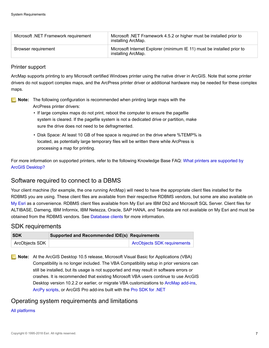| Microsoft .NET Framework requirement | Microsoft .NET Framework 4.5.2 or higher must be installed prior to<br>installing ArcMap.    |
|--------------------------------------|----------------------------------------------------------------------------------------------|
| Browser requirement                  | Microsoft Internet Explorer (minimum IE 11) must be installed prior to<br>installing ArcMap. |

#### Printer support

ArcMap supports printing to any Microsoft certified Windows printer using the native driver in ArcGIS. Note that some printer drivers do not support complex maps, and the ArcPress printer driver or additional hardware may be needed for these complex maps.

**Note:** The following configuration is recommended when printing large maps with the ArcPress printer drivers:

- If large complex maps do not print, reboot the computer to ensure the pagefile system is cleared. If the pagefile system is not a dedicated drive or partition, make sure the drive does not need to be defragmented.
- Disk Space: At least 10 GB of free space is required on the drive where %TEMP% is located, as potentially large temporary files will be written there while ArcPress is processing a map for printing.

For more information on supported printers, refer to the following Knowledge Base FAQ: [What printers are supported by](http://support.esri.com/en/knowledgebase/techarticles/detail/32745) [ArcGIS Desktop?](http://support.esri.com/en/knowledgebase/techarticles/detail/32745)

#### Software required to connect to a DBMS

Your client machine (for example, the one running ArcMap) will need to have the appropriate client files installed for the RDBMS you are using. These client files are available from their respective RDBMS vendors, but some are also available on [My Esri](https://my.esri.com/) as a convenience. RDBMS client files available from My Esri are IBM Db2 and Microsoft SQL Server. Client files for ALTIBASE, Dameng, IBM Informix, IBM Netezza, Oracle, SAP HANA, and Teradata are not available on My Esri and must be obtained from the RDBMS vendors. See [Database clients](http://desktop.arcgis.com/en/arcmap/latest/manage-data/databases/database-clients.htm) for more information.

#### SDK requirements

| <b>SDK</b>     | Supported and Recommended IDE(s) Requirements |                                    |
|----------------|-----------------------------------------------|------------------------------------|
| ArcObjects SDK |                                               | <b>ArcObjects SDK requirements</b> |

**Note:** At the ArcGIS Desktop 10.5 release, Microsoft Visual Basic for Applications (VBA) Compatibility is no longer included. The VBA Compatibility setup in prior versions can still be installed, but its usage is not supported and may result in software errors or crashes. It is recommended that existing Microsoft VBA users continue to use ArcGIS Desktop version 10.2.2 or earlier, or migrate VBA customizations to [ArcMap add-ins](http://help.arcgis.com/en/sdk/10.0/arcobjects_net/conceptualhelp/index.html#/Building_add_ins_for_ArcGIS_Desktop/0001000000w2000000/), [ArcPy scripts](http://desktop.arcgis.com/en/arcmap/latest/analyze/arcpy/what-is-arcpy-.htm), or ArcGIS Pro add-ins built with the [Pro SDK for .NET](http://pro.arcgis.com/en/pro-app/sdk/)

#### <span id="page-6-0"></span>Operating system requirements and limitations

#### [All platforms](#page-66-0)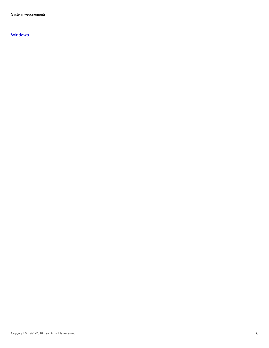System Requirements

#### [Windows](#page-67-0)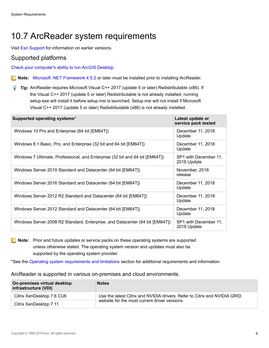# <span id="page-8-0"></span>10.7 ArcReader system requirements

Visit [Esri Support](http://resources.arcgis.com/en/help/previous-help/index.html) for information on earlier versions.

#### Supported platforms

[Check your computer's ability to run ArcGIS Desktop](http://cyri.systemrequirementslab.com/client/standard/?apikey=50f41142-39b0-4061-97c2-ba7b7fe43d0e&refid=1186&item=10913).

**Note:** [Microsoft .NET Framework 4.5.2](https://www.microsoft.com/en-us/download/details.aspx?id=42643) or later must be installed prior to installing ArcReader.

**Tip:** ArcReader requires Microsoft Visual C++ 2017 (update 5 or later) Redistributable (x86). If the Visual C++ 2017 (update 5 or later) Redistributable is not already installed, running setup.exe will install it before setup.msi is launched. Setup.msi will not install if Microsoft Visual C++ 2017 (update 5 or later) Redistributable (x86) is not already installed.

| Supported operating systems*                                                 | Latest update or<br>service pack tested |
|------------------------------------------------------------------------------|-----------------------------------------|
| Windows 10 Pro and Enterprise (64 bit [EM64T])                               | December 11, 2018<br>Update             |
| Windows 8.1 Basic, Pro, and Enterprise (32 bit and 64 bit [EM64T])           | December 11, 2018<br>Update             |
| Windows 7 Ultimate, Professional, and Enterprise (32 bit and 64 bit [EM64T]) | SP1 with December 11,<br>2018 Update    |
| Windows Server 2019 Standard and Datacenter (64 bit [EM64T])                 | November, 2018<br>release               |
| Windows Server 2016 Standard and Datacenter (64 bit [EM64T])                 | December 11, 2018<br>Update             |
| Windows Server 2012 R2 Standard and Datacenter (64 bit [EM64T])              | December 11, 2018<br>Update             |
| Windows Server 2012 Standard and Datacenter (64 bit [EM64T])                 | December 11, 2018<br>Update             |
| Windows Server 2008 R2 Standard, Enterprise, and Datacenter (64 bit [EM64T]) | SP1 with December 11,<br>2018 Update    |

**Note:** Prior and future updates or service packs on these operating systems are supported unless otherwise stated. The operating system version and updates must also be supported by the operating system provider.

\*See the [Operating system requirements and limitations](#page-10-0) section for additional requirements and information.

#### ArcReader is supported in various on-premises and cloud environments.

| On-premises virtual desktop<br>infrastructure (VDI) | <b>Notes</b>                                                                                                               |
|-----------------------------------------------------|----------------------------------------------------------------------------------------------------------------------------|
| Citrix XenDesktop 7.6 CU6                           | Use the latest Citrix and NVIDIA drivers. Refer to Citrix and NVIDIA GRID<br>website for the most current driver versions. |
| Citrix XenDesktop 7.11                              |                                                                                                                            |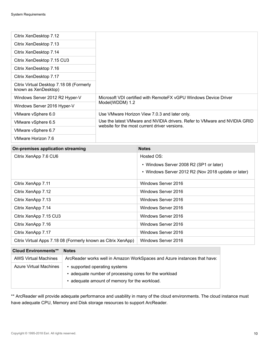| Citrix XenDesktop 7.12                                           |                                                                           |  |
|------------------------------------------------------------------|---------------------------------------------------------------------------|--|
| Citrix XenDesktop 7.13                                           |                                                                           |  |
| Citrix XenDesktop 7.14                                           |                                                                           |  |
| Citrix XenDesktop 7.15 CU3                                       |                                                                           |  |
| Citrix XenDesktop 7.16                                           |                                                                           |  |
| Citrix XenDesktop 7.17                                           |                                                                           |  |
| Citrix Virtual Desktop 7.18 08 (Formerly<br>known as XenDesktop) |                                                                           |  |
| Windows Server 2012 R2 Hyper-V                                   | Microsoft VDI certified with RemoteFX vGPU Windows Device Driver          |  |
| Windows Server 2016 Hyper-V                                      | Model(WDDM) 1.2                                                           |  |
| VMware vSphere 6.0                                               | Use VMware Horizon View 7.0.3 and later only.                             |  |
| VMware vSphere 6.5                                               | Use the latest VMware and NVIDIA drivers. Refer to VMware and NVIDIA GRID |  |
| VMware vSphere 6.7                                               | website for the most current driver versions.                             |  |
| VMware Horizon 7.6                                               |                                                                           |  |

| On-premises application streaming                             | <b>Notes</b>                                        |
|---------------------------------------------------------------|-----------------------------------------------------|
| Citrix XenApp 7.6 CU6                                         | Hosted OS:                                          |
|                                                               | • Windows Server 2008 R2 (SP1 or later)             |
|                                                               | • Windows Server 2012 R2 (Nov 2018 update or later) |
| Citrix XenApp 7.11                                            | Windows Server 2016                                 |
| Citrix XenApp 7.12                                            | Windows Server 2016                                 |
| Citrix XenApp 7.13                                            | Windows Server 2016                                 |
| Citrix XenApp 7.14                                            | Windows Server 2016                                 |
| Citrix XenApp 7.15 CU3                                        | Windows Server 2016                                 |
| Citrix XenApp 7.16                                            | Windows Server 2016                                 |
| Citrix XenApp 7.17                                            | Windows Server 2016                                 |
| Citrix Virtual Apps 7.18 08 (Formerly known as Citrix XenApp) | Windows Server 2016                                 |

| <b>Cloud Environments**</b>   | <b>Notes</b>                                                                                                                             |
|-------------------------------|------------------------------------------------------------------------------------------------------------------------------------------|
| <b>AWS Virtual Machines</b>   | ArcReader works well in Amazon WorkSpaces and Azure instances that have:                                                                 |
| <b>Azure Virtual Machines</b> | • supported operating systems<br>• adequate number of processing cores for the workload<br>• adequate amount of memory for the workload. |

\*\* ArcReader will provide adequate performance and usability in many of the cloud environments. The cloud instance must have adequate CPU, Memory and Disk storage resources to support ArcReader.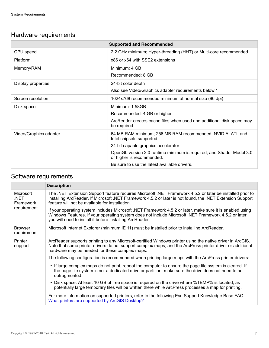## Hardware requirements

|                        | <b>Supported and Recommended</b>                                                                  |
|------------------------|---------------------------------------------------------------------------------------------------|
| CPU speed              | 2.2 GHz minimum; Hyper-threading (HHT) or Multi-core recommended                                  |
| <b>Platform</b>        | x86 or x64 with SSE2 extensions                                                                   |
| Memory/RAM             | Minimum: 4 GB                                                                                     |
|                        | Recommended: 8 GB                                                                                 |
| Display properties     | 24-bit color depth                                                                                |
|                        | Also see Video/Graphics adapter requirements below.*                                              |
| Screen resolution      | 1024x768 recommended minimum at normal size (96 dpi)                                              |
| Disk space             | Minimum: 1.58GB                                                                                   |
|                        | Recommended: 4 GB or higher                                                                       |
|                        | ArcReader creates cache files when used and additional disk space may<br>be required.             |
| Video/Graphics adapter | 64 MB RAM minimum; 256 MB RAM recommended. NVIDIA, ATI, and<br>Intel chipsets supported.          |
|                        | 24-bit capable graphics accelerator.                                                              |
|                        | OpenGL version 2.0 runtime minimum is required, and Shader Model 3.0<br>or higher is recommended. |
|                        | Be sure to use the latest available drivers.                                                      |

## Software requirements

<span id="page-10-0"></span>

|                                                      | <b>Description</b>                                                                                                                                                                                                                                                           |
|------------------------------------------------------|------------------------------------------------------------------------------------------------------------------------------------------------------------------------------------------------------------------------------------------------------------------------------|
| Microsoft<br>.NET<br><b>Framework</b><br>requirement | The .NET Extension Support feature requires Microsoft .NET Framework 4.5.2 or later be installed prior to<br>installing ArcReader. If Microsoft .NET Framework 4.5.2 or later is not found, the .NET Extension Support<br>feature will not be available for installation.    |
|                                                      | If your operating system includes Microsoft .NET Framework 4.5.2 or later, make sure it is enabled using<br>Windows Features. If your operating system does not include Microsoft .NET Framework 4.5.2 or later,<br>you will need to install it before installing ArcReader. |
| <b>Browser</b><br>requirement                        | Microsoft Internet Explorer (minimum IE 11) must be installed prior to installing ArcReader.                                                                                                                                                                                 |
| Printer<br>support                                   | ArcReader supports printing to any Microsoft-certified Windows printer using the native driver in ArcGIS.<br>Note that some printer drivers do not support complex maps, and the ArcPress printer driver or additional<br>hardware may be needed for these complex maps.     |
|                                                      | The following configuration is recommended when printing large maps with the ArcPress printer drivers:                                                                                                                                                                       |
|                                                      | If large complex maps do not print, reboot the computer to ensure the page file system is cleared. If<br>the page file system is not a dedicated drive or partition, make sure the drive does not need to be<br>defragmented.                                                |
|                                                      | • Disk space: At least 10 GB of free space is required on the drive where %TEMP% is located, as<br>potentially large temporary files will be written there while ArcPress processes a map for printing.                                                                      |
|                                                      | For more information on supported printers, refer to the following Esri Support Knowledge Base FAQ:<br>What printers are supported by ArcGIS Desktop?                                                                                                                        |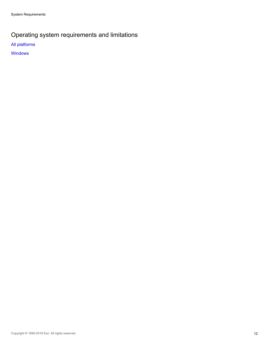## Operating system requirements and limitations

[All platforms](#page-66-0)

**[Windows](#page-67-0)**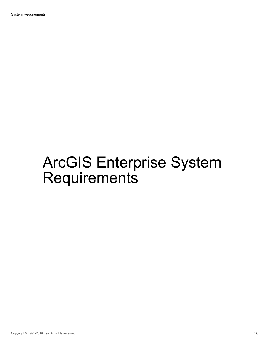System Requirements

# ArcGIS Enterprise System **Requirements**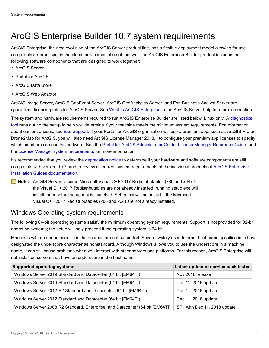## <span id="page-13-0"></span>ArcGIS Enterprise Builder 10.7 system requirements

ArcGIS Enterprise, the next evolution of the ArcGIS Server product line, has a flexible deployment model allowing for use completely on-premises, in the cloud, or a combination of the two. The ArcGIS Enterprise Builder product includes the following software components that are designed to work together:

- ArcGIS Server
- Portal for ArcGIS
- ArcGIS Data Store
- ArcGIS Web Adaptor

ArcGIS Image Server, ArcGIS GeoEvent Server, ArcGIS GeoAnalytics Server, and Esri Business Analyst Server are specialized licensing roles for ArcGIS Server. See [What is ArcGIS Enterprise](http://enterprise.arcgis.com/en/get-started/latest/windows/what-is-arcgis-enterprise-.htm) in the ArcGIS Server help for more information.

The system and hardware requirements required to run ArcGIS Enterprise Builder are listed below. Linux only: A [diagnostics](http://enterprise.arcgis.com/en/server/latest/administer/linux/checking-server-diagnostics-using-the-diagnostics-tool.htm) [tool](http://enterprise.arcgis.com/en/server/latest/administer/linux/checking-server-diagnostics-using-the-diagnostics-tool.htm) runs during the setup to help you determine if your machine meets the minimum system requirements. For information about earlier versions, see [Esri Support](http://resources.arcgis.com/en/help/). If your Portal for ArcGIS organization will use a premium app, such as ArcGIS Pro or Drone2Map for ArcGIS, you will also need ArcGIS License Manager 2018.1 to configure your premium app licenses to specify which members can use the software. See the [Portal for ArcGIS Administrator Guide,](http://enterprise.arcgis.com/en/portal/latest/install/windows/welcome-to-the-portal-for-arcgis-installation-guide.htm) [License Manager Reference Guide](http://links.esri.com/licensemanager/10.6/reference_guide), and the [License Manager system requirements](http://desktop.arcgis.com/en/license-manager/latest/arcgis-license-manager-system-requirements.htm) for more information.

It's recommended that you review the [deprecation notice](http://links.esri.com/deprecation_notice/106) to determine if your hardware and software components are still compatible with version 10.7, and to review all current system requirements of the individual products at [ArcGIS Enterprise](http://server.arcgis.com/en/documentation/install) [Installation Guides documentation.](http://server.arcgis.com/en/documentation/install)

**Note:** ArcGIS Server requires Microsoft Visual C++ 2017 Redistributables (x86 and x64). If the Visual C++ 2017 Redistributables are not already installed, running setup.exe will install them before setup.msi is launched. Setup.msi will not install if the Microsoft Visual C++ 2017 Redistributables (x86 and x64) are not already installed.

#### Windows Operating system requirements

The following 64-bit operating systems satisfy the minimum operating system requirements. Support is not provided for 32-bit operating systems; the setup will only proceed if the operating system is 64 bit.

Machines with an underscore () in their names are not supported. Several widely used Internet host name specifications have designated the underscore character as nonstandard. Although Windows allows you to use the underscore in a machine name, it can still cause problems when you interact with other servers and platforms. For this reason, ArcGIS Enterprise will not install on servers that have an underscore in the host name.

| <b>Supported operating systems</b>                                           | Latest update or service pack tested |
|------------------------------------------------------------------------------|--------------------------------------|
| Windows Server 2019 Standard and Datacenter (64 bit [EM64T])                 | Nov 2018 release                     |
| Windows Server 2016 Standard and Datacenter (64 bit [EM64T])                 | Dec 11, 2018 update                  |
| Windows Server 2012 R2 Standard and Datacenter (64 bit [EM64T])              | Dec 11, 2018 update                  |
| Windows Server 2012 Standard and Datacenter (64 bit [EM64T])                 | Dec 11, 2018 update                  |
| Windows Server 2008 R2 Standard, Enterprise, and Datacenter (64 bit [EM64T]) | SP1 with Dec 11, 2018 update         |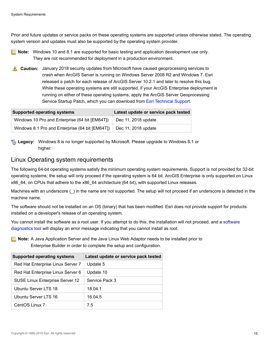Prior and future updates or service packs on these operating systems are supported unless otherwise stated. The operating system version and updates must also be supported by the operating system provider.

- **Note:** Windows 10 and 8.1 are supported for basic testing and application development use only. They are not recommended for deployment in a production environment.
- **A.** Caution: January 2018 security updates from Microsoft have caused geoprocessing services to crash when ArcGIS Server is running on Windows Server 2008 R2 and Windows 7. Esri released a patch for each release of ArcGIS Server 10.2.1 and later to resolve this bug. While these operating systems are still supported, if your ArcGIS Enterprise deployment is running on either of these operating systems, apply the ArcGIS Server Geoprocessing Service Startup Patch, which you can download from [Esri Technical Support](https://support.esri.com/en/download/7576).

| <b>Supported operating systems</b>              | Latest update or service pack tested |
|-------------------------------------------------|--------------------------------------|
| Windows 10 Pro and Enterprise (64 bit [EM64T])  | Dec 11, 2018 update                  |
| Windows 8.1 Pro and Enterprise (64 bit [EM64T]) | Dec 11, 2018 update                  |

**Legacy:** Windows 8 is no longer supported by Microsoft. Please upgrade to Windows 8.1 or higher.

#### Linux Operating system requirements

The following 64-bit operating systems satisfy the minimum operating system requirements. Support is not provided for 32-bit operating systems; the setup will only proceed if the operating system is 64 bit. ArcGIS Enterprise is only supported on Linux x86 64, on CPUs that adhere to the x86 64 architecture (64 bit), with supported Linux releases.

Machines with an underscore () in the name are not supported. The setup will not proceed if an underscore is detected in the machine name.

The software should not be installed on an OS (binary) that has been modified. Esri does not provide support for products installed on a developer's release of an operating system.

You cannot install the [software](http://enterprise.arcgis.com/en/server/latest/administer/linux/checking-server-diagnostics-using-the-diagnostics-tool.htm) as a root user. If you attempt to do this, the installation will not proceed, and a software [diagnostics tool](http://enterprise.arcgis.com/en/server/latest/administer/linux/checking-server-diagnostics-using-the-diagnostics-tool.htm) will display an error message indicating that you cannot install as root.

**Note:** A Java Application Server and the Java Linux Web Adaptor needs to be installed prior to Enterprise Builder in order to complete the setup and configuration.

| <b>Supported operating systems</b> | Latest update or service pack tested |
|------------------------------------|--------------------------------------|
| Red Hat Enterprise Linux Server 7  | Update 5                             |
| Red Hat Enterprise Linux Server 6  | Update 10                            |
| SUSE Linux Enterprise Server 12    | Service Pack 3                       |
| Ubuntu Server LTS 18               | 18.04.1                              |
| Ubuntu Server LTS 16               | 16.04.5                              |
| CentOS Linux 7                     | 7.5                                  |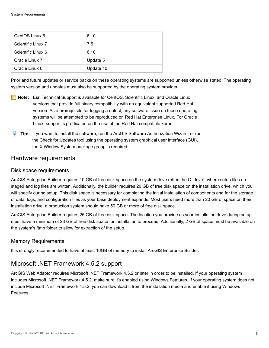| CentOS Linux 6     | 6.10      |
|--------------------|-----------|
| Scientific Linux 7 | 7.5       |
| Scientific Linux 6 | 6.10      |
| Oracle Linux 7     | Update 5  |
| Oracle Linux 6     | Update 10 |

Prior and future updates or service packs on these operating systems are supported unless otherwise stated. The operating system version and updates must also be supported by the operating system provider.

- **Note:** Esri Technical Support is available for CentOS, Scientific Linux, and Oracle Linux versions that provide full binary compatibility with an equivalent supported Red Hat version. As a prerequisite for logging a defect, any software issue on these operating systems will be attempted to be reproduced on Red Hat Enterprise Linux. For Oracle Linux, support is predicated on the use of the Red Hat compatible kernel.
- **Tip:** If you want to install the software, run the ArcGIS Software Authorization Wizard, or run the Check for Updates tool using the operating system graphical user interface (GUI), the X Window System package group is required.

#### Hardware requirements

#### Disk space requirements

ArcGIS Enterprise Builder requires 10 GB of free disk space on the system drive (often the C: drive), where setup files are staged and log files are written. Additionally, the builder requires 20 GB of free disk space on the installation drive, which you will specify during setup. This disk space is necessary for completing the initial installation of components and for the storage of data, logs, and configuration files as your base deployment expands. Most users need more than 20 GB of space on their installation drive; a production system should have 50 GB or more of free disk space.

ArcGIS Enterprise Builder requires 25 GB of free disk space. The location you provide as your installation drive during setup must have a minimum of 23 GB of free disk space for installation to proceed. Additionally, 2 GB of space must be available on the system's /tmp folder to allow for extraction of the setup.

#### Memory Requirements

It is strongly recommended to have at least 16GB of memory to install ArcGIS Enterprise Builder.

#### Microsoft .NET Framework 4.5.2 support

ArcGIS Web Adaptor requires Microsoft .NET Framework 4.5.2 or later in order to be installed. If your operating system includes Microsoft .NET Framework 4.5.2, make sure it's enabled using Windows Features. If your operating system does not include Microsoft .NET Framework 4.5.2, you can download it from the installation media and enable it using Windows Features.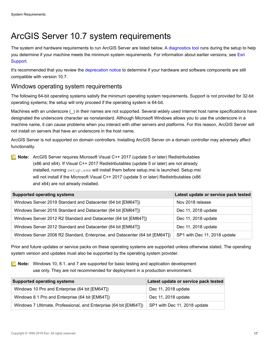# <span id="page-16-0"></span>ArcGIS Server 10.7 system requirements

The system and hardware requirements to run ArcGIS Server are listed below. A [diagnostics tool](http://enterprise.arcgis.com/en/server/latest/administer/linux/checking-server-diagnostics-using-the-diagnostics-tool.htm) runs during the setup to help you determine if your machine meets the minimum system requirements. For information about earlier versions, see [Esri](http://resources.arcgis.com/en/help/previous-help/index.html) [Support](http://resources.arcgis.com/en/help/previous-help/index.html).

It's recommended that you review the [deprecation notice](http://links.esri.com/deprecation_notice/106) to determine if your hardware and software components are still compatible with version 10.7.

## Windows operating system requirements

The following 64-bit operating systems satisfy the minimum operating system requirements. Support is not provided for 32-bit operating systems; the setup will only proceed if the operating system is 64-bit.

Machines with an underscore () in their names are not supported. Several widely used Internet host name specifications have designated the underscore character as nonstandard. Although Microsoft Windows allows you to use the underscore in a machine name, it can cause problems when you interact with other servers and platforms. For this reason, ArcGIS Server will not install on servers that have an underscore in the host name.

ArcGIS Server is not supported on domain controllers. Installing ArcGIS Server on a domain controller may adversely affect functionality.

**Note:** ArcGIS Server requires Microsoft Visual C++ 2017 (update 5 or later) Redistributables (x86 and x64). If Visual C++ 2017 Redistributables (update 5 or later) are not already  $in$ stalled, running setup.exe will install them before setup.msi is launched. Setup.msi will not install if the Microsoft Visual C++ 2017 (update 5 or later) Redistributables (x86 and x64) are not already installed.

| <b>Supported operating systems</b>                                           | Latest update or service pack tested |
|------------------------------------------------------------------------------|--------------------------------------|
| Windows Server 2019 Standard and Datacenter (64 bit [EM64T])                 | Nov 2018 release                     |
| Windows Server 2016 Standard and Datacenter (64 bit [EM64T])                 | Dec 11, 2018 update                  |
| Windows Server 2012 R2 Standard and Datacenter (64 bit [EM64T])              | Dec 11, 2018 update                  |
| Windows Server 2012 Standard and Datacenter (64 bit [EM64T])                 | Dec 11, 2018 update                  |
| Windows Server 2008 R2 Standard, Enterprise, and Datacenter (64 bit [EM64T]) | SP1 with Dec 11, 2018 update         |

Prior and future updates or service packs on these operating systems are supported unless otherwise stated. The operating system version and updates must also be supported by the operating system provider.

**Note:** Windows 10, 8.1, and 7 are supported for basic testing and application development use only. They are not recommended for deployment in a production environment.

| <b>Supported operating systems</b>                                | Latest update or service pack tested |
|-------------------------------------------------------------------|--------------------------------------|
| Windows 10 Pro and Enterprise (64 bit [EM64T])                    | Dec 11, 2018 update                  |
| Windows 8.1 Pro and Enterprise (64 bit [EM64T])                   | Dec 11, 2018 update                  |
| Windows 7 Ultimate, Professional, and Enterprise (64 bit [EM64T]) | SP1 with Dec 11, 2018 update         |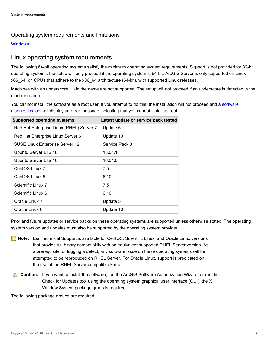#### Operating system requirements and limitations

<span id="page-17-0"></span>**[Windows](#page-67-0)** 

#### Linux operating system requirements

The following 64-bit operating systems satisfy the minimum operating system requirements. Support is not provided for 32-bit operating systems; the setup will only proceed if the operating system is 64-bit. ArcGIS Server is only supported on Linux x86\_64, on CPUs that adhere to the x86\_64 architecture (64-bit), with supported Linux releases.

Machines with an underscore (\_) in the name are not supported. The setup will not proceed if an underscore is detected in the machine name.

You cannot install the software as a root user. If you attempt to do this, the installation will not proceed and a [software](http://enterprise.arcgis.com/en/server/latest/administer/linux/checking-server-diagnostics-using-the-diagnostics-tool.htm) [diagnostics tool](http://enterprise.arcgis.com/en/server/latest/administer/linux/checking-server-diagnostics-using-the-diagnostics-tool.htm) will display an error message indicating that you cannot install as root.

| <b>Supported operating systems</b>       | Latest update or service pack tested |
|------------------------------------------|--------------------------------------|
| Red Hat Enterprise Linux (RHEL) Server 7 | Update 5                             |
| Red Hat Enterprise Linux Server 6        | Update 10                            |
| <b>SUSE Linux Enterprise Server 12</b>   | Service Pack 3                       |
| Ubuntu Server LTS 18                     | 18.04.1                              |
| Ubuntu Server LTS 16                     | 16.04.5                              |
| CentOS Linux 7                           | 7.5                                  |
| CentOS Linux 6                           | 6.10                                 |
| Scientific Linux 7                       | 7.5                                  |
| Scientific Linux 6                       | 6.10                                 |
| Oracle Linux 7                           | Update 5                             |
| Oracle Linux 6                           | Update 10                            |

Prior and future updates or service packs on these operating systems are supported unless otherwise stated. The operating system version and updates must also be supported by the operating system provider.

- **Note:** Esri Technical Support is available for CentOS, Scientific Linux, and Oracle Linux versions that provide full binary compatibility with an equivalent supported RHEL Server version. As a prerequisite for logging a defect, any software issue on these operating systems will be attempted to be reproduced on RHEL Server. For Oracle Linux, support is predicated on the use of the RHEL Server compatible kernel.
- **Caution:** If you want to install the software, run the ArcGIS Software Authorization Wizard, or run the Check for Updates tool using the operating system graphical user interface (GUI), the X Window System package group is required.

The following package groups are required.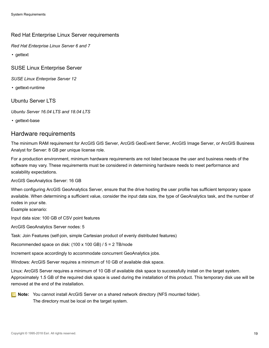#### Red Hat Enterprise Linux Server requirements

*Red Hat Enterprise Linux Server 6 and 7*

• gettext

SUSE Linux Enterprise Server

*SUSE Linux Enterprise Server 12*

• gettext-runtime

Ubuntu Server LTS

*Ubuntu Server 16.04 LTS and 18.04 LTS*

• gettext-base

#### Hardware requirements

The minimum RAM requirement for ArcGIS GIS Server, ArcGIS GeoEvent Server, ArcGIS Image Server, or ArcGIS Business Analyst for Server: 8 GB per unique license role.

For a production environment, minimum hardware requirements are not listed because the user and business needs of the software may vary. These requirements must be considered in determining hardware needs to meet performance and scalability expectations.

ArcGIS GeoAnalytics Server: 16 GB

When configuring ArcGIS GeoAnalytics Server, ensure that the drive hosting the user profile has sufficient temporary space available. When determining a sufficient value, consider the input data size, the type of GeoAnalytics task, and the number of nodes in your site.

Example scenario:

Input data size: 100 GB of CSV point features

ArcGIS GeoAnalytics Server nodes: 5

Task: Join Features (self-join, simple Cartesian product of evenly distributed features)

Recommended space on disk: (100 x 100 GB) / 5 = 2 TB/node

Increment space accordingly to accommodate concurrent GeoAnalytics jobs.

Windows: ArcGIS Server requires a minimum of 10 GB of available disk space.

Linux: ArcGIS Server requires a minimum of 10 GB of available disk space to successfully install on the target system. Approximately 1.5 GB of the required disk space is used during the installation of this product. This temporary disk use will be removed at the end of the installation.



**Note:** You cannot install ArcGIS Server on a shared network directory (NFS mounted folder). The directory must be local on the target system.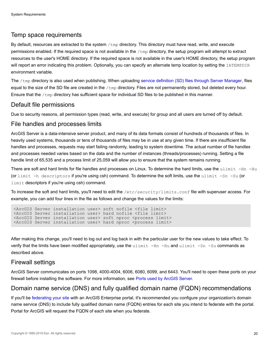#### Temp space requirements

By default, resources are extracted to the system /tmp directory. This directory must have read, write, and execute permissions enabled. If the required space is not available in the  $/\text{tmp}$  directory, the setup program will attempt to extract resources to the user's HOME directory. If the required space is not available in the user's HOME directory, the setup program will report an error indicating this problem. Optionally, you can specify an alternate temp location by setting the IATEMPDIR environment variable.

The /tmp directory is also used when publishing. When uploading [service definition \(SD\) files through Server Manager,](http://enterprise.arcgis.com/en/server/latest/publish-services/windows/publishing-a-service-definition-to-the-server-in-manager.htm) files equal to the size of the SD file are created in the  $/\text{tmp}$  directory. Files are not permanently stored, but deleted every hour. Ensure that the  $/\text{tmp}$  directory has sufficient space for individual SD files to be published in this manner.

#### Default file permissions

Due to security reasons, all permission types (read, write, and execute) for group and all users are turned off by default.

#### File handles and processes limits

ArcGIS Server is a data-intensive server product, and many of its data formats consist of hundreds of thousands of files. In heavily used systems, thousands or tens of thousands of files may be in use at any given time. If there are insufficient file handles and processes, requests may start failing randomly, leading to system downtime. The actual number of file handles and processes needed varies based on the data and the number of instances (threads/processes) running. Setting a file handle limit of 65,535 and a process limit of 25,059 will allow you to ensure that the system remains running.

There are soft and hard limits for file handles and processes on Linux. To determine the hard limits, use the ulimit -Hn -Hu (or limit -h descriptors if you're using csh) command. To determine the soft limits, use the ulimit -Sn -Su (or limit descriptors if you're using csh) command.

To increase the soft and hard limits, you'll need to edit the /etc/security/limits.conf file with superuser access. For example, you can add four lines in the file as follows and change the values for the limits:

```
<ArcGIS Server installation user> soft nofile <file limit>
<ArcGIS Server installation user> hard nofile <file limit>
<ArcGIS Server installation user> soft nproc <process limit>
<ArcGIS Server installation user> hard nproc <process limit>
```
After making this change, you'll need to log out and log back in with the particular user for the new values to take effect. To verify that the limits have been modified appropriately, use the  $ulimit$  -Hn -Hu and  $ulimit$  -Sn -Su commands as described above.

#### Firewall settings

ArcGIS Server communicates on ports 1098, 4000-4004, 6006, 6080, 6099, and 6443. You'll need to open these ports on your firewall before installing the software. For more information, see [Ports used by ArcGIS Server.](http://enterprise.arcgis.com/en/server/latest/administer/windows/ports-used-by-arcgis-server.htm)

#### Domain name service (DNS) and fully qualified domain name (FQDN) recommendations

If you'll be [federating your site](http://enterprise.arcgis.com/en/server/latest/deploy/windows/federate-an-arcgis-server-site-with-your-portal.htm) with an ArcGIS Enterprise portal, it's recommended you configure your organization's domain name service (DNS) to include fully qualified domain name (FQDN) entries for each site you intend to federate with the portal. Portal for ArcGIS will request the FQDN of each site when you federate.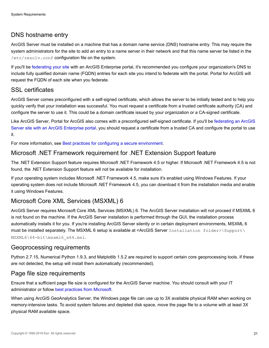## DNS hostname entry

ArcGIS Server must be installed on a machine that has a domain name service (DNS) hostname entry. This may require the system administrators for the site to add an entry to a name server in their network and that this name server be listed in the /etc/resolv.conf configuration file on the system.

If you'll be [federating your site](http://enterprise.arcgis.com/en/server/latest/deploy/windows/federate-an-arcgis-server-site-with-your-portal.htm) with an ArcGIS Enterprise portal, it's recommended you configure your organization's DNS to include fully qualified domain name (FQDN) entries for each site you intend to federate with the portal. Portal for ArcGIS will request the FQDN of each site when you federate.

### SSL certificates

ArcGIS Server comes preconfigured with a self-signed certificate, which allows the server to be initially tested and to help you quickly verify that your installation was successful. You must request a certificate from a trusted certificate authority (CA) and configure the server to use it. This could be a domain certificate issued by your organization or a CA-signed certificate.

Like ArcGIS Server, Portal for ArcGIS also comes with a preconfigured self-signed certificate. If you'll be [federating an ArcGIS](http://enterprise.arcgis.com/en/server/latest/deploy/windows/federate-an-arcgis-server-site-with-your-portal.htm) [Server site with an ArcGIS Enterprise portal,](http://enterprise.arcgis.com/en/server/latest/deploy/windows/federate-an-arcgis-server-site-with-your-portal.htm) you should request a certificate from a trusted CA and configure the portal to use it.

For more information, see [Best practices for configuring a secure environment](http://enterprise.arcgis.com/en/server/latest/administer/windows/best-practices-for-configuring-a-secure-environment.htm).

## Microsoft .NET Framework requirement for .NET Extension Support feature

The .NET Extension Support feature requires Microsoft .NET Framework 4.5 or higher. If Microsoft .NET Framework 4.5 is not found, the .NET Extension Support feature will not be available for installation.

If your operating system includes Microsoft .NET Framework 4.5, make sure it's enabled using Windows Features. If your operating system does not include Microsoft .NET Framework 4.5, you can download it from the installation media and enable it using Windows Features.

## Microsoft Core XML Services (MSXML) 6

ArcGIS Server requires Microsoft Core XML Services (MSXML) 6. The ArcGIS Server installation will not proceed if MSXML 6 is not found on the machine. If the ArcGIS Server installation is performed through the GUI, the installation process automatically installs it for you. If you're installing ArcGIS Server silently or in certain deployment environments, MSXML 6 must be installed separately. The MSXML 6 setup is available at <ArcGIS Server Installation folder>\Support\ MSXML6\64-bit\msxml6\_x64.msi.

Geoprocessing requirements

Python 2.7.15, Numerical Python 1.9.3, and Matplotlib 1.5.2 are required to support certain core geoprocessing tools. If these are not detected, the setup will install them automatically (recommended).

#### Page file size requirements

Ensure that a sufficient page file size is configured for the ArcGIS Server machine. You should consult with your IT administrator or follow [best practices from Microsoft.](https://support.microsoft.com/en-us/kb/2860880)

When using ArcGIS GeoAnalytics Server, the Windows page file can use up to 3X available physical RAM when working on memory-intensive tasks. To avoid system failures and depleted disk space, move the page file to a volume with at least 3X physical RAM available space.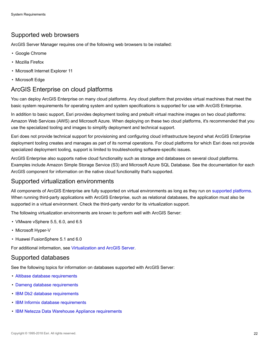### Supported web browsers

ArcGIS Server Manager requires one of the following web browsers to be installed:

- Google Chrome
- Mozilla Firefox
- Microsoft Internet Explorer 11
- Microsoft Edge

#### ArcGIS Enterprise on cloud platforms

You can deploy ArcGIS Enterprise on many cloud platforms. Any cloud platform that provides virtual machines that meet the basic system requirements for operating system and system specifications is supported for use with ArcGIS Enterprise.

In addition to basic support, Esri provides deployment tooling and prebuilt virtual machine images on two cloud platforms: Amazon Web Services (AWS) and Microsoft Azure. When deploying on these two cloud platforms, it's recommended that you use the specialized tooling and images to simplify deployment and technical support.

Esri does not provide technical support for provisioning and configuring cloud infrastructure beyond what ArcGIS Enterprise deployment tooling creates and manages as part of its normal operations. For cloud platforms for which Esri does not provide specialized deployment tooling, support is limited to troubleshooting software-specific issues.

ArcGIS Enterprise also supports native cloud functionality such as storage and databases on several cloud platforms. Examples include Amazon Simple Storage Service (S3) and Microsoft Azure SQL Database. See the documentation for each ArcGIS component for information on the native cloud functionality that's supported.

#### Supported virtualization environments

All components of ArcGIS Enterprise are fully supported on virtual environments as long as they run on [supported platforms.](#page-17-0) When running third-party applications with ArcGIS Enterprise, such as relational databases, the application must also be supported in a virtual environment. Check the third-party vendor for its virtualization support.

The following virtualization environments are known to perform well with ArcGIS Server:

- VMware vSphere 5.5, 6.0, and 6.5
- Microsoft Hyper-V
- Huawei FusionSphere 5.1 and 6.0

For additional information, see [Virtualization and ArcGIS Server](http://enterprise.arcgis.com/en/server/latest/deploy/windows/virtualization-and-arcgis-server.htm).

#### Supported databases

See the following topics for information on databases supported with ArcGIS Server:

- [Altibase database requirements](#page-43-0)
- [Dameng database requirements](#page-44-0)
- [IBM Db2 database requirements](#page-45-0)
- [IBM Informix database requirements](#page-47-0)
- [IBM Netezza Data Warehouse Appliance requirements](#page-48-0)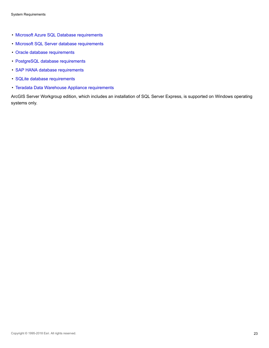- [Microsoft Azure SQL Database requirements](#page-51-0)
- [Microsoft SQL Server database requirements](#page-49-0)
- [Oracle database requirements](#page-52-0)
- [PostgreSQL database requirements](#page-54-0)
- [SAP HANA database requirements](#page-56-0)
- [SQLite database requirements](#page-57-0)
- [Teradata Data Warehouse Appliance requirements](#page-58-0)

ArcGIS Server Workgroup edition, which includes an installation of SQL Server Express, is supported on Windows operating systems only.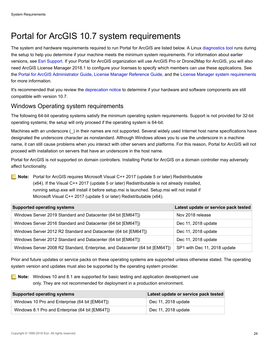# <span id="page-23-0"></span>Portal for ArcGIS 10.7 system requirements

The system and hardware requirements required to run Portal for ArcGIS are listed below. A Linux [diagnostics tool](http://enterprise.arcgis.com/en/portal/latest/administer/linux/checking-portal-diagnostics.htm) runs during the setup to help you determine if your machine meets the minimum system requirements. For information about earlier versions, see [Esri Support.](http://resources.arcgis.com/en/help/) If your Portal for ArcGIS organization will use ArcGIS Pro or Drone2Map for ArcGIS, you will also need ArcGIS License Manager 2018.1 to configure your licenses to specify which members can use these applications. See the [Portal for ArcGIS Administrator Guide,](http://links.esri.com/portal/10.6/portaladmin) [License Manager Reference Guide](http://links.esri.com/licensemanager/10.6/reference_guide), and the [License Manager system requirements](http://desktop.arcgis.com/en/license-manager/latest/arcgis-license-manager-system-requirements.htm) for more information.

It's recommended that you review the [deprecation notice](http://links.esri.com/deprecation_notice/106) to determine if your hardware and software components are still compatible with version 10.7.

#### <span id="page-23-1"></span>Windows Operating system requirements

The following 64-bit operating systems satisfy the minimum operating system requirements. Support is not provided for 32-bit operating systems; the setup will only proceed if the operating system is 64-bit.

Machines with an underscore () in their names are not supported. Several widely used Internet host name specifications have designated the underscore character as nonstandard. Although Windows allows you to use the underscore in a machine name, it can still cause problems when you interact with other servers and platforms. For this reason, Portal for ArcGIS will not proceed with installation on servers that have an underscore in the host name.

Portal for ArcGIS is not supported on domain controllers. Installing Portal for ArcGIS on a domain controller may adversely affect functionality.

**Note:** Portal for ArcGIS requires Microsoft Visual C++ 2017 (update 5 or later) Redistributable (x64). If the Visual C++ 2017 (update 5 or later) Redistributable is not already installed, running setup.exe will install it before setup.msi is launched. Setup.msi will not install if Microsoft Visual C++ 2017 (update 5 or later) Redistributable (x64).

| <b>Supported operating systems</b>                                           | Latest update or service pack tested |
|------------------------------------------------------------------------------|--------------------------------------|
| Windows Server 2019 Standard and Datacenter (64 bit [EM64T])                 | Nov 2018 release                     |
| Windows Server 2016 Standard and Datacenter (64 bit [EM64T])                 | Dec 11, 2018 update                  |
| Windows Server 2012 R2 Standard and Datacenter (64 bit [EM64T])              | Dec 11, 2018 update                  |
| Windows Server 2012 Standard and Datacenter (64 bit [EM64T])                 | Dec 11, 2018 update                  |
| Windows Server 2008 R2 Standard, Enterprise, and Datacenter (64 bit [EM64T]) | SP1 with Dec 11, 2018 update         |

Prior and future updates or service packs on these operating systems are supported unless otherwise stated. The operating system version and updates must also be supported by the operating system provider.

**Note:** Windows 10 and 8.1 are supported for basic testing and application development use only. They are not recommended for deployment in a production environment.

| <b>Supported operating systems</b>              | Latest update or service pack tested |
|-------------------------------------------------|--------------------------------------|
| Windows 10 Pro and Enterprise (64 bit [EM64T])  | Dec 11, 2018 update                  |
| Windows 8.1 Pro and Enterprise (64 bit [EM64T]) | Dec 11, 2018 update                  |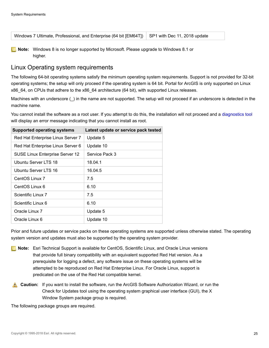| Windows 7 Ultimate, Professional, and Enterprise (64 bit [EM64T]) SP1 with Dec 11, 2018 update |  |  |
|------------------------------------------------------------------------------------------------|--|--|
|------------------------------------------------------------------------------------------------|--|--|

**Note:** Windows 8 is no longer supported by Microsoft. Please upgrade to Windows 8.1 or higher.

#### Linux Operating system requirements

The following 64-bit operating systems satisfy the minimum operating system requirements. Support is not provided for 32-bit operating systems; the setup will only proceed if the operating system is 64 bit. Portal for ArcGIS is only supported on Linux x86\_64, on CPUs that adhere to the x86\_64 architecture (64 bit), with supported Linux releases.

Machines with an underscore () in the name are not supported. The setup will not proceed if an underscore is detected in the machine name.

You cannot install the software as a root user. If you attempt to do this, the installation will not proceed and a [diagnostics tool](http://enterprise.arcgis.com/en/portal/latest/administer/linux/checking-portal-diagnostics.htm) will display an error message indicating that you cannot install as root.

| <b>Supported operating systems</b> | Latest update or service pack tested |
|------------------------------------|--------------------------------------|
| Red Hat Enterprise Linux Server 7  | Update 5                             |
| Red Hat Enterprise Linux Server 6  | Update 10                            |
| SUSE Linux Enterprise Server 12    | Service Pack 3                       |
| Ubuntu Server LTS 18               | 18.04.1                              |
| Ubuntu Server LTS 16               | 16.04.5                              |
| CentOS Linux 7                     | 7.5                                  |
| CentOS Linux 6                     | 6.10                                 |
| Scientific Linux 7                 | 7.5                                  |
| Scientific Linux 6                 | 6.10                                 |
| Oracle Linux 7                     | Update 5                             |
| Oracle Linux 6                     | Update 10                            |

Prior and future updates or service packs on these operating systems are supported unless otherwise stated. The operating system version and updates must also be supported by the operating system provider.

- **Note:** Esri Technical Support is available for CentOS, Scientific Linux, and Oracle Linux versions that provide full binary compatibility with an equivalent supported Red Hat version. As a prerequisite for logging a defect, any software issue on these operating systems will be attempted to be reproduced on Red Hat Enterprise Linux. For Oracle Linux, support is predicated on the use of the Red Hat compatible kernel.
- **Caution:** If you want to install the software, run the ArcGIS Software Authorization Wizard, or run the Check for Updates tool using the operating system graphical user interface (GUI), the X Window System package group is required.

The following package groups are required.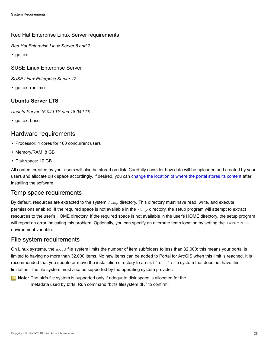#### Red Hat Enterprise Linux Server requirements

*Red Hat Enterprise Linux Server 6 and 7*

• gettext

SUSE Linux Enterprise Server

*SUSE Linux Enterprise Server 12*

• gettext-runtime

#### **Ubuntu Server LTS**

*Ubuntu Server 16.04 LTS and 18.04 LTS*

• gettext-base

#### Hardware requirements

- Processor: 4 cores for 100 concurrent users
- Memory/RAM: 8 GB
- Disk space: 10 GB

All content created by your users will also be stored on disk. Carefully consider how data will be uploaded and created by your users and allocate disk space accordingly. If desired, you can [change the location of where the portal stores its content](http://enterprise.arcgis.com/en/portal/latest/administer/windows/changing-the-portal-content-directory.htm) after installing the software.

#### Temp space requirements

By default, resources are extracted to the system /tmp directory. This directory must have read, write, and execute permissions enabled. If the required space is not available in the /tmp directory, the setup program will attempt to extract resources to the user's HOME directory. If the required space is not available in the user's HOME directory, the setup program will report an error indicating this problem. Optionally, you can specify an alternate temp location by setting the IATEMPDIR environment variable.

#### File system requirements

On Linux systems, the  $ext{ext 3}$  file system limits the number of item subfolders to less than 32,000; this means your portal is limited to having no more than 32,000 items. No new items can be added to Portal for ArcGIS when this limit is reached. It is recommended that you update or move the installation directory to an  $ext{ext}$  or  $ext{xs}$  file system that does not have this limitation. The file system must also be supported by the operating system provider.

**Note:** The btrfs file system is supported only if adequate disk space is allocated for the metadata used by btrfs. Run command "btrfs filesystem df /" to confirm.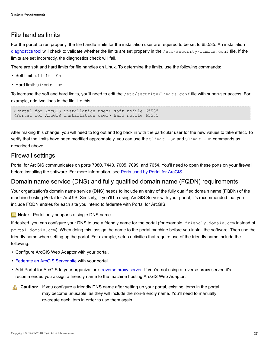## File handles limits

For the portal to run properly, the file handle limits for the installation user are required to be set to 65,535. An installation [diagnostics tool](http://enterprise.arcgis.com/en/portal/latest/administer/linux/checking-portal-diagnostics.htm) will check to validate whether the limits are set properly in the /etc/security/limits.conf file. If the limits are set incorrectly, the diagnostics check will fail.

There are soft and hard limits for file handles on Linux. To determine the limits, use the following commands:

- Soft limit: ulimit -Sn
- Hard limit: ulimit -Hn

To increase the soft and hard limits, you'll need to edit the /etc/security/limits.conf file with superuser access. For example, add two lines in the file like this:

<Portal for ArcGIS installation user> soft nofile 65535 <Portal for ArcGIS installation user> hard nofile 65535

After making this change, you will need to log out and log back in with the particular user for the new values to take effect. To verify that the limits have been modified appropriately, you can use the  $\mu$ limit -Sn and  $\mu$ limit -Hn commands as described above.

#### Firewall settings

Portal for ArcGIS communicates on ports 7080, 7443, 7005, 7099, and 7654. You'll need to open these ports on your firewall before installing the software. For more information, see [Ports used by Portal for ArcGIS.](http://enterprise.arcgis.com/en/enterprise/latest/install/windows/ports-used-by-portal-for-arcgis.htm)

#### Domain name service (DNS) and fully qualified domain name (FQDN) requirements

Your organization's domain name service (DNS) needs to include an entry of the fully qualified domain name (FQDN) of the machine hosting Portal for ArcGIS. Similarly, if you'll be using ArcGIS Server with your portal, it's recommended that you include FQDN entries for each site you intend to federate with Portal for ArcGIS.

**Note:** Portal only supports a single DNS name.

If desired, you can configure your DNS to use a friendly name for the portal (for example,  $f$ riendly.domain.com instead of portal.domain.com). When doing this, assign the name to the portal machine before you install the software. Then use the friendly name when setting up the portal. For example, setup activities that require use of the friendly name include the following:

- Configure ArcGIS Web Adaptor with your portal.
- [Federate an ArcGIS Server site](http://enterprise.arcgis.com/en/server/latest/deploy/windows/federate-an-arcgis-server-site-with-your-portal.htm) with your portal.
- Add Portal for ArcGIS to your organization's [reverse proxy server.](http://enterprise.arcgis.com/en/portal/latest/administer/windows/using-a-reverse-proxy-server-with-portal-for-arcgis.htm) If you're not using a reverse proxy server, it's recommended you assign a friendly name to the machine hosting ArcGIS Web Adaptor.
- **Caution:** If you configure a friendly DNS name after setting up your portal, existing items in the portal may become unusable, as they will include the non-friendly name. You'll need to manually re-create each item in order to use them again.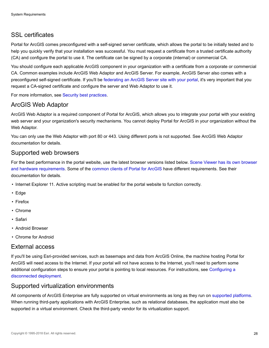## SSL certificates

Portal for ArcGIS comes preconfigured with a self-signed server certificate, which allows the portal to be initially tested and to help you quickly verify that your installation was successful. You must request a certificate from a trusted certificate authority (CA) and configure the portal to use it. The certificate can be signed by a corporate (internal) or commercial CA.

You should configure each applicable ArcGIS component in your organization with a certificate from a corporate or commercial CA. Common examples include ArcGIS Web Adaptor and ArcGIS Server. For example, ArcGIS Server also comes with a preconfigured self-signed certificate. If you'll be [federating an ArcGIS Server site with your portal,](http://enterprise.arcgis.com/en/server/latest/deploy/windows/federate-an-arcgis-server-site-with-your-portal.htm) it's very important that you request a CA-signed certificate and configure the server and Web Adaptor to use it.

For more information, see [Security best practices](http://enterprise.arcgis.com/en/portal/latest/administer/windows/security-best-practices.htm#ESRI_SECTION1_42767D241AA54256A1CC9255CCD6108E).

#### ArcGIS Web Adaptor

ArcGIS Web Adaptor is a required component of Portal for ArcGIS, which allows you to integrate your portal with your existing web server and your organization's security mechanisms. You cannot deploy Portal for ArcGIS in your organization without the Web Adaptor.

You can only use the Web Adaptor with port 80 or 443. Using different ports is not supported. See ArcGIS Web Adaptor documentation for details.

#### Supported web browsers

For the best performance in the portal website, use the latest browser versions listed below. [Scene Viewer has its own browser](http://enterprise.arcgis.com/en/portal/latest/use/scene-viewer-requirements.htm) [and hardware requirements](http://enterprise.arcgis.com/en/portal/latest/use/scene-viewer-requirements.htm). Some of the [common clients of Portal for ArcGIS](http://enterprise.arcgis.com/en/get-started/latest/windows/portal-clients.htm) have different requirements. See their documentation for details.

- Internet Explorer 11. Active scripting must be enabled for the portal website to function correctly.
- Edge
- Firefox
- Chrome
- Safari
- Android Browser
- Chrome for Android

#### External access

If you'll be using Esri-provided services, such as basemaps and data from ArcGIS Online, the machine hosting Portal for ArcGIS will need access to the Internet. If your portal will not have access to the Internet, you'll need to perform some additional configuration steps to ensure your portal is pointing to local resources. For instructions, see [Configuring a](http://enterprise.arcgis.com/en/portal/latest/administer/windows/configure-a-disconnected-deployment.htm) [disconnected deployment.](http://enterprise.arcgis.com/en/portal/latest/administer/windows/configure-a-disconnected-deployment.htm)

#### Supported virtualization environments

All components of ArcGIS Enterprise are fully supported on virtual environments as long as they run on [supported platforms.](#page-23-1) When running third-party applications with ArcGIS Enterprise, such as relational databases, the application must also be supported in a virtual environment. Check the third-party vendor for its virtualization support.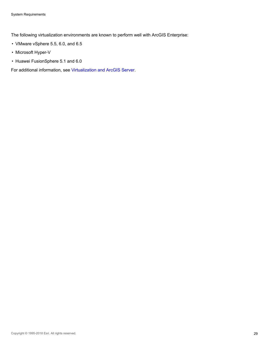The following virtualization environments are known to perform well with ArcGIS Enterprise:

- VMware vSphere 5.5, 6.0, and 6.5
- Microsoft Hyper-V
- Huawei FusionSphere 5.1 and 6.0

For additional information, see [Virtualization and ArcGIS Server](http://enterprise.arcgis.com/en/server/latest/deploy/windows/virtualization-and-arcgis-server.htm).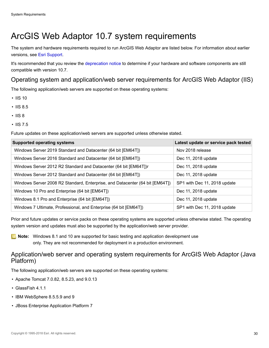# <span id="page-29-0"></span>ArcGIS Web Adaptor 10.7 system requirements

The system and hardware requirements required to run ArcGIS Web Adaptor are listed below. For information about earlier versions, see [Esri Support.](http://resources.arcgis.com/en/help/)

It's recommended that you review the [deprecation notice](http://links.esri.com/deprecation_notice/106) to determine if your hardware and software components are still compatible with version 10.7.

#### Operating system and application/web server requirements for ArcGIS Web Adaptor (IIS)

The following application/web servers are supported on these operating systems:

- IIS 10
- IIS 8.5
- $\cdot$  IIS 8
- IIS 7.5

Future updates on these application/web servers are supported unless otherwise stated.

| <b>Supported operating systems</b>                                           | Latest update or service pack tested |
|------------------------------------------------------------------------------|--------------------------------------|
| Windows Server 2019 Standard and Datacenter (64 bit [EM64T])                 | Nov 2018 release                     |
| Windows Server 2016 Standard and Datacenter (64 bit [EM64T])                 | Dec 11, 2018 update                  |
| Windows Server 2012 R2 Standard and Datacenter (64 bit [EM64T])r             | Dec 11, 2018 update                  |
| Windows Server 2012 Standard and Datacenter (64 bit [EM64T])                 | Dec 11, 2018 update                  |
| Windows Server 2008 R2 Standard, Enterprise, and Datacenter (64 bit [EM64T]) | SP1 with Dec 11, 2018 update         |
| Windows 10 Pro and Enterprise (64 bit [EM64T])                               | Dec 11, 2018 update                  |
| Windows 8.1 Pro and Enterprise (64 bit [EM64T])                              | Dec 11, 2018 update                  |
| Windows 7 Ultimate, Professional, and Enterprise (64 bit [EM64T])            | SP1 with Dec 11, 2018 update         |

Prior and future updates or service packs on these operating systems are supported unless otherwise stated. The operating system version and updates must also be supported by the application/web server provider.

**Note:** Windows 8.1 and 10 are supported for basic testing and application development use only. They are not recommended for deployment in a production environment.

#### Application/web server and operating system requirements for ArcGIS Web Adaptor (Java Platform)

The following application/web servers are supported on these operating systems:

- Apache Tomcat 7.0.82, 8.5.23, and 9.0.13
- GlassFish 4.1.1
- IBM WebSphere 8.5.5.9 and 9
- JBoss Enterprise Application Platform 7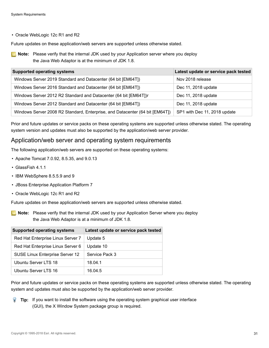• Oracle WebLogic 12c R1 and R2

Future updates on these application/web servers are supported unless otherwise stated.

**Note:** Please verify that the internal JDK used by your Application server where you deploy the Java Web Adaptor is at the minimum of JDK 1.8.

| <b>Supported operating systems</b>                                           | Latest update or service pack tested |
|------------------------------------------------------------------------------|--------------------------------------|
| Windows Server 2019 Standard and Datacenter (64 bit [EM64T])                 | Nov 2018 release                     |
| Windows Server 2016 Standard and Datacenter (64 bit [EM64T])                 | Dec 11, 2018 update                  |
| Windows Server 2012 R2 Standard and Datacenter (64 bit [EM64T])r             | Dec 11, 2018 update                  |
| Windows Server 2012 Standard and Datacenter (64 bit [EM64T])                 | Dec 11, 2018 update                  |
| Windows Server 2008 R2 Standard, Enterprise, and Datacenter (64 bit [EM64T]) | SP1 with Dec 11, 2018 update         |

Prior and future updates or service packs on these operating systems are supported unless otherwise stated. The operating system version and updates must also be supported by the application/web server provider.

#### Application/web server and operating system requirements

The following application/web servers are supported on these operating systems:

- Apache Tomcat 7.0.92, 8.5.35, and 9.0.13
- GlassFish 4.1.1
- IBM WebSphere 8.5.5.9 and 9
- JBoss Enterprise Application Platform 7
- Oracle WebLogic 12c R1 and R2

Future updates on these application/web servers are supported unless otherwise stated.

**Note:** Please verify that the internal JDK used by your Application Server where you deploy the Java Web Adaptor is at a minimum of JDK 1.8.

| <b>Supported operating systems</b> | Latest update or service pack tested |
|------------------------------------|--------------------------------------|
| Red Hat Enterprise Linux Server 7  | Update 5                             |
| Red Hat Enterprise Linux Server 6  | Update 10                            |
| SUSE Linux Enterprise Server 12    | Service Pack 3                       |
| Ubuntu Server LTS 18               | 18.04.1                              |
| Ubuntu Server LTS 16               | 16.04.5                              |

Prior and future updates or service packs on these operating systems are supported unless otherwise stated. The operating system and updates must also be supported by the application/web server provider.

**Tip:** If you want to install the software using the operating system graphical user interface (GUI), the X Window System package group is required.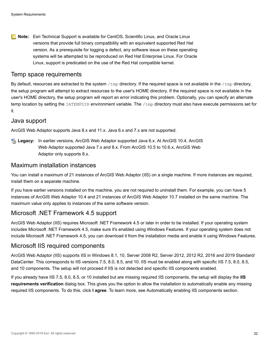**Note:** Esri Technical Support is available for CentOS, Scientific Linux, and Oracle Linux versions that provide full binary compatibility with an equivalent supported Red Hat version. As a prerequisite for logging a defect, any software issue on these operating systems will be attempted to be reproduced on Red Hat Enterprise Linux. For Oracle Linux, support is predicated on the use of the Red Hat compatible kernel.

#### Temp space requirements

By default, resources are extracted to the system  $/\text{tmp}$  directory. If the required space is not available in the  $/\text{tmp}$  directory, the setup program will attempt to extract resources to the user's HOME directory. If the required space is not available in the user's HOME directory, the setup program will report an error indicating this problem. Optionally, you can specify an alternate temp location by setting the IATEMPDIR environment variable. The /tmp directory must also have execute permissions set for it.

#### Java support

ArcGIS Web Adaptor supports Java 8.x and 11.x. Java 6.x and 7.x are not supported.

**Legacy:** In earlier versions, ArcGIS Web Adaptor supported Java 6.x. At ArcGIS 10.4, ArcGIS Web Adaptor supported Java 7.x and 8.x. From ArcGIS 10.5 to 10.6.x, ArcGIS Web Adaptor only supports 8.x.

#### Maximum installation instances

You can install a maximum of 21 instances of ArcGIS Web Adaptor (IIS) on a single machine. If more instances are required, install them on a separate machine.

If you have earlier versions installed on the machine, you are not required to uninstall them. For example, you can have 5 instances of ArcGIS Web Adaptor 10.4 and 21 instances of ArcGIS Web Adaptor 10.7 installed on the same machine. The maximum value only applies to instances of the same software version.

#### Microsoft .NET Framework 4.5 support

ArcGIS Web Adaptor (IIS) requires Microsoft .NET Framework 4.5 or later in order to be installed. If your operating system includes Microsoft .NET Framework 4.5, make sure it's enabled using Windows Features. If your operating system does not include Microsoft .NET Framework 4.5, you can download it from the installation media and enable it using Windows Features.

#### Microsoft IIS required components

ArcGIS Web Adaptor (IIS) supports IIS in Windows 8.1, 10, Server 2008 R2, Server 2012, 2012 R2, 2016 and 2019 Standard/ DataCenter. This corresponds to IIS versions 7.5, 8.0, 8.5, and 10. IIS must be enabled along with specific IIS 7.5, 8.0, 8.5, and 10 components. The setup will not proceed if IIS is not detected and specific IIS components enabled.

If you already have IIS 7.5, 8.0, 8.5, or 10 installed but are missing required IIS components, the setup will display the **IIS requirements verification** dialog box. This gives you the option to allow the installation to automatically enable any missing required IIS components. To do this, click **I agree**. To learn more, see Automatically enabling IIS components section.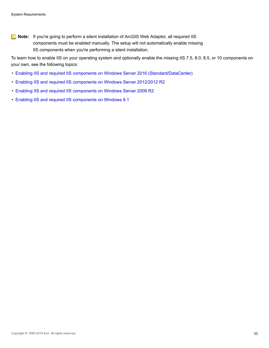**Note:** If you're going to perform a silent installation of ArcGIS Web Adaptor, all required IIS components must be enabled manually. The setup will not automatically enable missing IIS components when you're performing a silent installation.

To learn how to enable IIS on your operating system and optionally enable the missing IIS 7.5, 8.0, 8.5, or 10 components on your own, see the following topics:

- [Enabling IIS and required IIS components on Windows Server 2016 \(Standard/DataCenter\)](http://enterprise.arcgis.com/en/web-adaptor/latest/install/iis/enable-iis-2016-components-server.htm)
- [Enabling IIS and required IIS components on Windows Server 2012/2012 R2](http://enterprise.arcgis.com/en/web-adaptor/latest/install/iis/enable-iis-2012-components-server.htm)
- [Enabling IIS and required IIS components on Windows Server 2008 R2](http://enterprise.arcgis.com/en/web-adaptor/latest/install/iis/enable-iis-2008-components-server.htm)
- [Enabling IIS and required IIS components on Windows 8.1](http://enterprise.arcgis.com/en/web-adaptor/latest/install/iis/enable-iis-8-components-server.htm)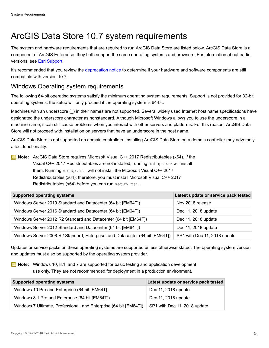# <span id="page-33-0"></span>ArcGIS Data Store 10.7 system requirements

The system and hardware requirements that are required to run ArcGIS Data Store are listed below. ArcGIS Data Store is a component of ArcGIS Enterprise; they both support the same operating systems and browsers. For information about earlier versions, see [Esri Support.](http://resources.arcgis.com/en/help/)

It's recommended that you review the [deprecation notice](http://links.esri.com/deprecation_notice/106) to determine if your hardware and software components are still compatible with version 10.7.

## Windows Operating system requirements

The following 64-bit operating systems satisfy the minimum operating system requirements. Support is not provided for 32-bit operating systems; the setup will only proceed if the operating system is 64-bit.

Machines with an underscore () in their names are not supported. Several widely used Internet host name specifications have designated the underscore character as nonstandard. Although Microsoft Windows allows you to use the underscore in a machine name, it can still cause problems when you interact with other servers and platforms. For this reason, ArcGIS Data Store will not proceed with installation on servers that have an underscore in the host name.

ArcGIS Data Store is not supported on domain controllers. Installing ArcGIS Data Store on a domain controller may adversely affect functionality.

**Note:** ArcGIS Data Store requires Microsoft Visual C++ 2017 Redistributables (x64). If the Visual C++ 2017 Redistributables are not installed, running setup.exe will install them. Running setup.msi will not install the Microsoft Visual C++ 2017 Redistributables (x64); therefore, you must install Microsoft Visual C++ 2017 Redistributables (x64) before you can run setup.msi.

| <b>Supported operating systems</b>                                           | Latest update or service pack tested |
|------------------------------------------------------------------------------|--------------------------------------|
| Windows Server 2019 Standard and Datacenter (64 bit [EM64T])                 | Nov 2018 release                     |
| Windows Server 2016 Standard and Datacenter (64 bit [EM64T])                 | Dec 11, 2018 update                  |
| Windows Server 2012 R2 Standard and Datacenter (64 bit [EM64T])              | Dec 11, 2018 update                  |
| Windows Server 2012 Standard and Datacenter (64 bit [EM64T])                 | Dec 11, 2018 update                  |
| Windows Server 2008 R2 Standard, Enterprise, and Datacenter (64 bit [EM64T]) | SP1 with Dec 11, 2018 update         |

Updates or service packs on these operating systems are supported unless otherwise stated. The operating system version and updates must also be supported by the operating system provider.

**Note:** Windows 10, 8.1, and 7 are supported for basic testing and application development use only. They are not recommended for deployment in a production environment.

| <b>Supported operating systems</b>                                                             | Latest update or service pack tested |
|------------------------------------------------------------------------------------------------|--------------------------------------|
| Windows 10 Pro and Enterprise (64 bit [EM64T])                                                 | Dec 11, 2018 update                  |
| Windows 8.1 Pro and Enterprise (64 bit [EM64T])                                                | Dec 11, 2018 update                  |
| Windows 7 Ultimate, Professional, and Enterprise (64 bit [EM64T]) SP1 with Dec 11, 2018 update |                                      |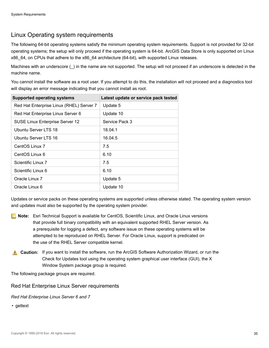## Linux Operating system requirements

The following 64-bit operating systems satisfy the minimum operating system requirements. Support is not provided for 32-bit operating systems; the setup will only proceed if the operating system is 64-bit. ArcGIS Data Store is only supported on Linux x86\_64, on CPUs that adhere to the x86\_64 architecture (64-bit), with supported Linux releases.

Machines with an underscore (\_) in the name are not supported. The setup will not proceed if an underscore is detected in the machine name.

You cannot install the software as a root user. If you attempt to do this, the installation will not proceed and a diagnostics tool will display an error message indicating that you cannot install as root.

| <b>Supported operating systems</b>       | Latest update or service pack tested |
|------------------------------------------|--------------------------------------|
| Red Hat Enterprise Linux (RHEL) Server 7 | Update 5                             |
| Red Hat Enterprise Linux Server 6        | Update 10                            |
| <b>SUSE Linux Enterprise Server 12</b>   | Service Pack 3                       |
| Ubuntu Server LTS 18                     | 18.04.1                              |
| Ubuntu Server LTS 16                     | 16.04.5                              |
| CentOS Linux 7                           | 7.5                                  |
| CentOS Linux 6                           | 6.10                                 |
| Scientific Linux 7                       | 7.5                                  |
| Scientific Linux 6                       | 6.10                                 |
| Oracle Linux 7                           | Update 5                             |
| Oracle Linux 6                           | Update 10                            |

Updates or service packs on these operating systems are supported unless otherwise stated. The operating system version and updates must also be supported by the operating system provider.

- **Note:** Esri Technical Support is available for CentOS, Scientific Linux, and Oracle Linux versions that provide full binary compatibility with an equivalent supported RHEL Server version. As a prerequisite for logging a defect, any software issue on these operating systems will be attempted to be reproduced on RHEL Server. For Oracle Linux, support is predicated on the use of the RHEL Server compatible kernel.
- **Caution:** If you want to install the software, run the ArcGIS Software Authorization Wizard, or run the Check for Updates tool using the operating system graphical user interface (GUI), the X Window System package group is required.

The following package groups are required.

Red Hat Enterprise Linux Server requirements

*Red Hat Enterprise Linux Server 6 and 7*

• gettext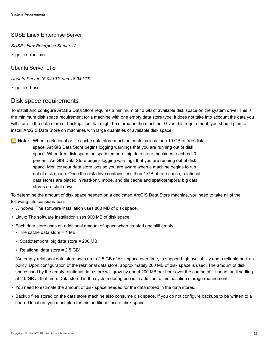#### SUSE Linux Enterprise Server

*SUSE Linux Enterprise Server 12*

• gettext-runtime

Ubuntu Server LTS

*Ubuntu Server 16.04 LTS and 18.04 LTS*

• gettext-base

#### Disk space requirements

To install and configure ArcGIS Data Store requires a minimum of 13 GB of available disk space on the system drive. This is the minimum disk space requirement for a machine with one empty data store type; it does not take into account the data you will store in the data store or backup files that might be stored on the machine. Given this requirement, you should plan to install ArcGIS Data Store on machines with large quantities of available disk space.

**Note:** When a relational or tile cache data store machine contains less than 10 GB of free disk space, ArcGIS Data Store begins logging warnings that you are running out of disk space. When free disk space on spatiotemporal big data store machines reaches 20 percent, ArcGIS Data Store begins logging warnings that you are running out of disk space. Monitor your data store logs so you are aware when a machine begins to run out of disk space. Once the disk drive contains less than 1 GB of free space, relational data stores are placed in read-only mode, and tile cache and spatiotemporal big data stores are shut down.

To determine the amount of disk space needed on a dedicated ArcGIS Data Store machine, you need to take all of the following into consideration:

- Windows: The software installation uses 800 MB of disk space.
- Linux: The software installation uses 900 MB of disk space.
- Each data store uses an additional amount of space when created and still empty:
	- $\blacksquare$  Tile cache data store = 1 MB
	- Spatiotemporal big data store = 200 MB
	- $\blacksquare$  Relational data store = 2.5 GB\*

\*An empty relational data store uses up to 2.5 GB of disk space over time, to support high availability and a reliable backup policy. Upon configuration of the relational data store, approximately 200 MB of disk space is used. The amount of disk space used by the empty relational data store will grow by about 200 MB per hour over the course of 11 hours until settling at 2.5 GB at that time. Data stored in the system during use is in addition to this baseline storage requirement.

- You need to estimate the amount of disk space needed for the data stored in the data stores.
- Backup files stored on the data store machine also consume disk space. If you do not configure backups to be written to a shared location, you must plan for this additional use of disk space.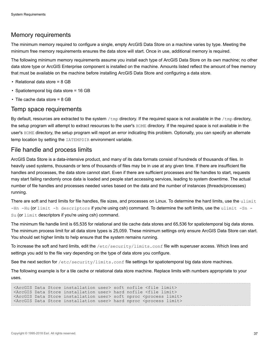# Memory requirements

The minimum memory required to configure a single, empty ArcGIS Data Store on a machine varies by type. Meeting the minimum free memory requirements ensures the data store will start. Once in use, additional memory is required.

The following minimum memory requirements assume you install each type of ArcGIS Data Store on its own machine; no other data store type or ArcGIS Enterprise component is installed on the machine. Amounts listed reflect the amount of free memory that must be available on the machine before installing ArcGIS Data Store and configuring a data store.

- Relational data store = 8 GB
- Spatiotemporal big data store = 16 GB
- Tile cache data store = 8 GB

#### Temp space requirements

By default, resources are extracted to the system  $/$ tmp directory. If the required space is not available in the  $/$ tmp directory, the setup program will attempt to extract resources to the user's HOME directory. If the required space is not available in the user's HOME directory, the setup program will report an error indicating this problem. Optionally, you can specify an alternate temp location by setting the IATEMPDIR environment variable.

#### File handle and process limits

ArcGIS Data Store is a data-intensive product, and many of its data formats consist of hundreds of thousands of files. In heavily used systems, thousands or tens of thousands of files may be in use at any given time. If there are insufficient file handles and processes, the data store cannot start. Even if there are sufficient processes and file handles to start, requests may start failing randomly once data is loaded and people start accessing services, leading to system downtime. The actual number of file handles and processes needed varies based on the data and the number of instances (threads/processes) running.

There are soft and hard limits for file handles, file sizes, and processes on Linux. To determine the hard limits, use the ulimit -Hn -Hu (or limit -h descriptors if you're using csh) command. To determine the soft limits, use the ulimit -Sn -Su (or limit descriptors if you're using csh) command.

The minimum file handle limit is 65,535 for relational and tile cache data stores and 65,536 for spatiotemporal big data stores. The minimum process limit for all data store types is 25,059. These minimum settings only ensure ArcGIS Data Store can start. You should set higher limits to help ensure that the system remains running.

To increase the soft and hard limits, edit the /etc/security/limits.conf file with superuser access. Which lines and settings you add to the file vary depending on the type of data store you configure.

See the next section for /etc/security/limits.conf file settings for spatiotemporal big data store machines.

The following example is for a tile cache or relational data store machine. Replace limits with numbers appropriate to your uses.

<ArcGIS Data Store installation user> soft nofile <file limit> <ArcGIS Data Store installation user> hard nofile <file limit> <ArcGIS Data Store installation user> soft nproc <process limit> <ArcGIS Data Store installation user> hard nproc <process limit>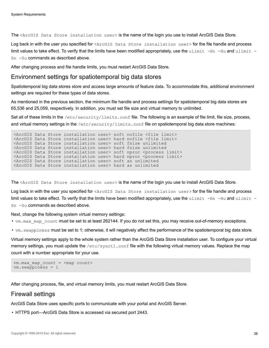The <ArcGIS Data Store installation user> is the name of the login you use to install ArcGIS Data Store.

Log back in with the user you specified for <ArcGIS Data Store installation user> for the file handle and process limit values to take effect. To verify that the limits have been modified appropriately, use the ulimit  $-$ Hn  $-$ Hu and ulimit  $-$ Sn -Su commands as described above.

After changing process and file handle limits, you must restart ArcGIS Data Store.

#### Environment settings for spatiotemporal big data stores

Spatiotemporal big data stores store and access large amounts of feature data. To accommodate this, additional environment settings are required for these types of data stores.

As mentioned in the previous section, the minimum file handle and process settings for spatiotemporal big data stores are 65,536 and 25,059, respectively. In addition, you must set file size and virtual memory to unlimited.

Set all of these limits in the /etc/security/limits.conf file. The following is an example of file limit, file size, process, and virtual memory settings in the  $/etc/security/limits$ .conf file on spatiotemporal big data store machines:

```
<ArcGIS Data Store installation user> soft nofile <file limit>
<ArcGIS Data Store installation user> hard nofile <file limit>
<ArcGIS Data Store installation user> soft fsize unlimited
<ArcGIS Data Store installation user> hard fsize unlimited
<ArcGIS Data Store installation user> soft nproc <process limit>
<ArcGIS Data Store installation user> hard nproc <process limit>
<ArcGIS Data Store installation user> soft as unlimited
<ArcGIS Data Store installation user> hard as unlimited
```
The <ArcGIS Data Store installation user> is the name of the login you use to install ArcGIS Data Store.

Log back in with the user you specified for <ArcGIS Data Store installation user> for the file handle and process limit values to take effect. To verify that the limits have been modified appropriately, use the ulimit  $-Hn$  -Hu and ulimit -Sn -Su commands as described above.

Next, change the following system virtual memory settings:

• vm. max map count must be set to at least 262144. If you do not set this, you may receive out-of-memory exceptions.

• vm.swappiness must be set to 1; otherwise, it will negatively affect the performance of the spatiotemporal big data store.

Virtual memory settings apply to the whole system rather than the ArcGIS Data Store installation user. To configure your virtual memory settings, you must update the /etc/sysctl.conf file with the following virtual memory values. Replace the map count with a number appropriate for your use.

```
vm.max map count = <map count>
vm.swappiness = 1
```
After changing process, file, and virtual memory limits, you must restart ArcGIS Data Store.

#### Firewall settings

ArcGIS Data Store uses specific ports to communicate with your portal and ArcGIS Server.

• HTTPS port—ArcGIS Data Store is accessed via secured port 2443.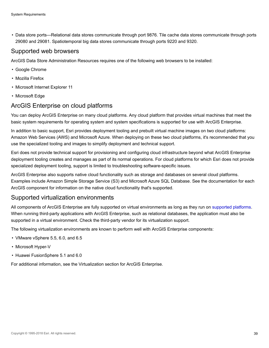• Data store ports—Relational data stores communicate through port 9876. Tile cache data stores communicate through ports 29080 and 29081. Spatiotemporal big data stores communicate through ports 9220 and 9320.

#### Supported web browsers

ArcGIS Data Store Administration Resources requires one of the following web browsers to be installed:

- Google Chrome
- Mozilla Firefox
- Microsoft Internet Explorer 11
- Microsoft Edge

# ArcGIS Enterprise on cloud platforms

You can deploy ArcGIS Enterprise on many cloud platforms. Any cloud platform that provides virtual machines that meet the basic system requirements for operating system and system specifications is supported for use with ArcGIS Enterprise.

In addition to basic support, Esri provides deployment tooling and prebuilt virtual machine images on two cloud platforms: Amazon Web Services (AWS) and Microsoft Azure. When deploying on these two cloud platforms, it's recommended that you use the specialized tooling and images to simplify deployment and technical support.

Esri does not provide technical support for provisioning and configuring cloud infrastructure beyond what ArcGIS Enterprise deployment tooling creates and manages as part of its normal operations. For cloud platforms for which Esri does not provide specialized deployment tooling, support is limited to troubleshooting software-specific issues.

ArcGIS Enterprise also supports native cloud functionality such as storage and databases on several cloud platforms. Examples include Amazon Simple Storage Service (S3) and Microsoft Azure SQL Database. See the documentation for each ArcGIS component for information on the native cloud functionality that's supported.

# Supported virtualization environments

All components of ArcGIS Enterprise are fully supported on virtual environments as long as they run on [supported platforms.](#page-17-0) When running third-party applications with ArcGIS Enterprise, such as relational databases, the application must also be supported in a virtual environment. Check the third-party vendor for its virtualization support.

The following virtualization environments are known to perform well with ArcGIS Enterprise components:

- VMware vSphere 5.5, 6.0, and 6.5
- Microsoft Hyper-V
- Huawei FusionSphere 5.1 and 6.0

For additional information, see the Virtualization section for ArcGIS Enterprise.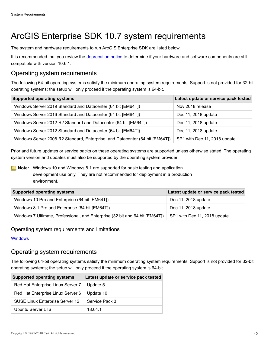# ArcGIS Enterprise SDK 10.7 system requirements

The system and hardware requirements to run ArcGIS Enterprise SDK are listed below.

It is recommended that you review the [deprecation notice](http://links.esri.com/deprecation_notice/106) to determine if your hardware and software components are still compatible with version 10.6.1.

# Operating system requirements

The following 64-bit operating systems satisfy the minimum operating system requirements. Support is not provided for 32-bit operating systems; the setup will only proceed if the operating system is 64-bit.

| <b>Supported operating systems</b>                                           | Latest update or service pack tested |
|------------------------------------------------------------------------------|--------------------------------------|
| Windows Server 2019 Standard and Datacenter (64 bit [EM64T])                 | Nov 2018 release                     |
| Windows Server 2016 Standard and Datacenter (64 bit [EM64T])                 | Dec 11, 2018 update                  |
| Windows Server 2012 R2 Standard and Datacenter (64 bit [EM64T])              | Dec 11, 2018 update                  |
| Windows Server 2012 Standard and Datacenter (64 bit [EM64T])                 | Dec 11, 2018 update                  |
| Windows Server 2008 R2 Standard, Enterprise, and Datacenter (64 bit [EM64T]) | SP1 with Dec 11, 2018 update         |

Prior and future updates or service packs on these operating systems are supported unless otherwise stated. The operating system version and updates must also be supported by the operating system provider.

**Note:** Windows 10 and Windows 8.1 are supported for basic testing and application development use only. They are not recommended for deployment in a production environment.

| <b>Supported operating systems</b>                                           | Latest update or service pack tested |
|------------------------------------------------------------------------------|--------------------------------------|
| Windows 10 Pro and Enterprise (64 bit [EM64T])                               | Dec 11, 2018 update                  |
| Windows 8.1 Pro and Enterprise (64 bit [EM64T])                              | Dec 11, 2018 update                  |
| Windows 7 Ultimate, Professional, and Enterprise (32 bit and 64 bit [EM64T]) | SP1 with Dec 11, 2018 update         |

#### Operating system requirements and limitations

#### **[Windows](#page-67-0)**

# Operating system requirements

The following 64-bit operating systems satisfy the minimum operating system requirements. Support is not provided for 32-bit operating systems; the setup will only proceed if the operating system is 64-bit.

| <b>Supported operating systems</b> | Latest update or service pack tested |
|------------------------------------|--------------------------------------|
| Red Hat Enterprise Linux Server 7  | Update 5                             |
| Red Hat Enterprise Linux Server 6  | Update 10                            |
| SUSE Linux Enterprise Server 12    | Service Pack 3                       |
| Ubuntu Server LTS                  | 18.04.1                              |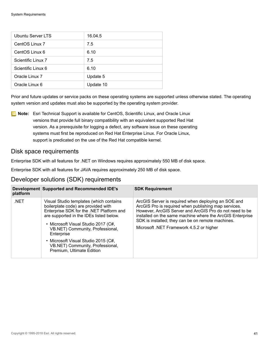| Ubuntu Server LTS  | 16.04.5   |
|--------------------|-----------|
| CentOS Linux 7     | 7.5       |
| CentOS Linux 6     | 6.10      |
| Scientific Linux 7 | 7.5       |
| Scientific Linux 6 | 6.10      |
| Oracle Linux 7     | Update 5  |
| Oracle Linux 6     | Update 10 |

Prior and future updates or service packs on these operating systems are supported unless otherwise stated. The operating system version and updates must also be supported by the operating system provider.

**Note:** Esri Technical Support is available for CentOS, Scientific Linux, and Oracle Linux versions that provide full binary compatibility with an equivalent supported Red Hat version. As a prerequisite for logging a defect, any software issue on these operating systems must first be reproduced on Red Hat Enterprise Linux. For Oracle Linux, support is predicated on the use of the Red Hat compatible kernel.

#### Disk space requirements

Enterprise SDK with all features for .NET on Windows requires approximately 550 MB of disk space.

Enterprise SDK with all features for JAVA requires approximately 250 MB of disk space.

### Developer solutions (SDK) requirements

| platform | Development Supported and Recommended IDE's                                                                                                                                                                                                                                                                                                                            | <b>SDK Requirement</b>                                                                                                                                                                                                                                                                                                               |
|----------|------------------------------------------------------------------------------------------------------------------------------------------------------------------------------------------------------------------------------------------------------------------------------------------------------------------------------------------------------------------------|--------------------------------------------------------------------------------------------------------------------------------------------------------------------------------------------------------------------------------------------------------------------------------------------------------------------------------------|
| .NET     | Visual Studio templates (which contains<br>boilerplate code) are provided with<br>Enterprise SDK for the .NET Platform and<br>are supported in the IDEs listed below.<br>• Microsoft Visual Studio 2017 (C#,<br>VB.NET) Community, Professional,<br>Enterprise<br>• Microsoft Visual Studio 2015 (C#,<br>VB.NET) Community, Professional,<br>Premium, Ultimate Edition | ArcGIS Server is required when deploying an SOE and<br>ArcGIS Pro is required when publishing map services.<br>However, ArcGIS Server and ArcGIS Pro do not need to be<br>installed on the same machine where the ArcGIS Enterprise<br>SDK is installed; they can be on remote machines.<br>Microsoft .NET Framework 4.5.2 or higher |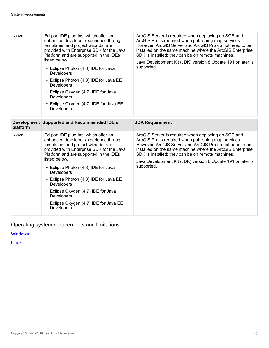| Java     | Eclipse IDE plug-ins, which offer an<br>enhanced developer experience through<br>templates, and project wizards, are<br>provided with Enterprise SDK for the Java<br>Platform and are supported in the IDEs<br>listed below.<br>• Eclipse Photon (4.8) IDE for Java<br>Developers<br>• Eclipse Photon (4.8) IDE for Java EE<br>Developers<br>• Eclipse Oxygen (4.7) IDE for Java<br>Developers<br>• Eclipse Oxygen (4.7) IDE for Java EE<br>Developers | ArcGIS Server is required when deploying an SOE and<br>ArcGIS Pro is required when publishing map services.<br>However, ArcGIS Server and ArcGIS Pro do not need to be<br>installed on the same machine where the ArcGIS Enterprise<br>SDK is installed; they can be on remote machines.<br>Java Development Kit (JDK) version 8 Update 191 or later is<br>supported. |
|----------|--------------------------------------------------------------------------------------------------------------------------------------------------------------------------------------------------------------------------------------------------------------------------------------------------------------------------------------------------------------------------------------------------------------------------------------------------------|-----------------------------------------------------------------------------------------------------------------------------------------------------------------------------------------------------------------------------------------------------------------------------------------------------------------------------------------------------------------------|
| platform | Development Supported and Recommended IDE's                                                                                                                                                                                                                                                                                                                                                                                                            | <b>SDK Requirement</b>                                                                                                                                                                                                                                                                                                                                                |
| Java     | Eclipse IDE plug-ins, which offer an<br>enhanced developer experience through<br>templates, and project wizards, are<br>provided with Enterprise SDK for the Java<br>Platform and are supported in the IDEs<br>listed below.<br>• Eclipse Photon (4.8) IDE for Java<br>Developers<br>• Eclipse Photon (4.8) IDE for Java EE<br>Developers<br>• Eclipse Oxygen (4.7) IDE for Java<br>Developers<br>• Eclipse Oxygen (4.7) IDE for Java EE<br>Developers | ArcGIS Server is required when deploying an SOE and<br>ArcGIS Pro is required when publishing map services.<br>However, ArcGIS Server and ArcGIS Pro do not need to be<br>installed on the same machine where the ArcGIS Enterprise<br>SDK is installed; they can be on remote machines.<br>Java Development Kit (JDK) version 8 Update 191 or later is<br>supported. |

Operating system requirements and limitations

**[Windows](#page-67-0)** 

[Linux](#page-68-0)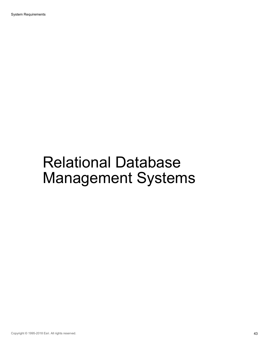# Relational Database Management Systems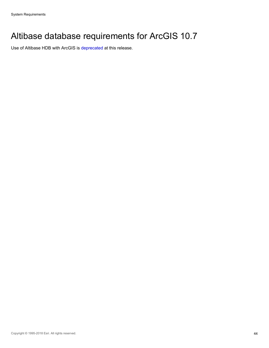# Altibase database requirements for ArcGIS 10.7

Use of Altibase HDB with ArcGIS is [deprecated](http://links.esri.com/deprecation_notice/1061) at this release.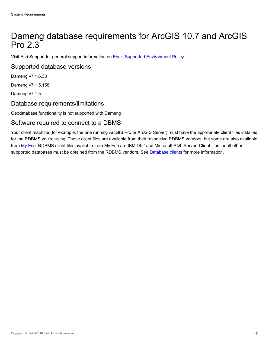# Dameng database requirements for ArcGIS 10.7 and ArcGIS Pro 2.3

Visit Esri Support for general support information on [Esri's Supported Environment Policy.](http://support.esri.com/en/content/supportedenvironmentpolicy)

#### Supported database versions

Dameng v7.1.6.33

Dameng v7.1.5.158

Dameng v7.1.5

# Database requirements/limitations

Geodatabase functionality is not supported with Dameng.

#### Software required to connect to a DBMS

Your client machine (for example, the one running ArcGIS Pro or ArcGIS Server) must have the appropriate client files installed for the RDBMS you're using. These client files are available from their respective RDBMS vendors, but some are also available from [My Esri](https://my.esri.com/). RDBMS client files available from My Esri are IBM Db2 and Microsoft SQL Server. Client files for all other supported databases must be obtained from the RDBMS vendors. See [Database clients](http://desktop.arcgis.com/en/arcmap/latest/manage-data/databases/database-clients.htm) for more information.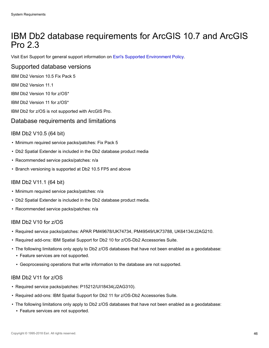# IBM Db2 database requirements for ArcGIS 10.7 and ArcGIS Pro 2.3

Visit Esri Support for general support information on [Esri's Supported Environment Policy.](http://support.esri.com/en/content/supportedenvironmentpolicy)

#### Supported database versions

IBM Db2 Version 10.5 Fix Pack 5

IBM Db2 Version 11.1

IBM Db2 Version 10 for z/OS\*

IBM Db2 Version 11 for z/OS\*

IBM Db2 for z/OS is not supported with ArcGIS Pro.

#### Database requirements and limitations

#### IBM Db2 V10.5 (64 bit)

- Minimum required service packs/patches: Fix Pack 5
- Db2 Spatial Extender is included in the Db2 database product media
- Recommended service packs/patches: n/a
- Branch versioning is supported at Db2 10.5 FP5 and above

#### IBM Db2 V11.1 (64 bit)

- Minimum required service packs/patches: n/a
- Db2 Spatial Extender is included in the Db2 database product media.
- Recommended service packs/patches: n/a

#### IBM Db2 V10 for z/OS

- Required service packs/patches: APAR PM49678/UK74734, PM49549/UK73788, UK64134/J2AG210.
- Required add-ons: IBM Spatial Support for Db2 10 for z/OS-Db2 Accessories Suite.
- The following limitations only apply to Db2 z/OS databases that have not been enabled as a geodatabase:
	- Feature services are not supported.
	- Geoprocessing operations that write information to the database are not supported.

#### IBM Db2 V11 for z/OS

- Required service packs/patches: P15212/UI18434(J2AG310).
- Required add-ons: IBM Spatial Support for Db2 11 for z/OS-Db2 Accessories Suite.
- The following limitations only apply to Db2 z/OS databases that have not been enabled as a geodatabase:
	- Feature services are not supported.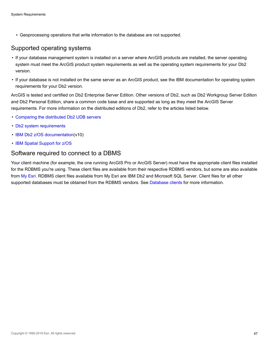▪ Geoprocessing operations that write information to the database are not supported.

#### Supported operating systems

- If your database management system is installed on a server where ArcGIS products are installed, the server operating system must meet the ArcGIS product system requirements as well as the operating system requirements for your Db2 version.
- If your database is not installed on the same server as an ArcGIS product, see the IBM documentation for operating system requirements for your Db2 version.

ArcGIS is tested and certified on Db2 Enterprise Server Edition. Other versions of Db2, such as Db2 Workgroup Server Edition and Db2 Personal Edition, share a common code base and are supported as long as they meet the ArcGIS Server requirements. For more information on the distributed editions of Db2, refer to the articles listed below.

- [Comparing the distributed Db2 UDB servers](http://links.esri.com/ibm_db2_udb)
- [Db2 system requirements](http://www-306.ibm.com/software/data/db2/udb/sysreqs.html)
- [IBM Db2 z/OS documentation](http://pic.dhe.ibm.com/infocenter/dzichelp/v2r2/index.jsp?topic=%2Fcom.ibm.db2z10.doc%2Fsrc%2Falltoc%2Fdb2z_10_prodhome.htm)(v10)
- [IBM Spatial Support for z/OS](http://www-01.ibm.com/software/data/spatial/db2zos/sysreqs.html)

# Software required to connect to a DBMS

Your client machine (for example, the one running ArcGIS Pro or ArcGIS Server) must have the appropriate client files installed for the RDBMS you're using. These client files are available from their respective RDBMS vendors, but some are also available from [My Esri](https://my.esri.com/). RDBMS client files available from My Esri are IBM Db2 and Microsoft SQL Server. Client files for all other supported databases must be obtained from the RDBMS vendors. See [Database clients](http://desktop.arcgis.com/en/arcmap/latest/manage-data/databases/database-clients.htm) for more information.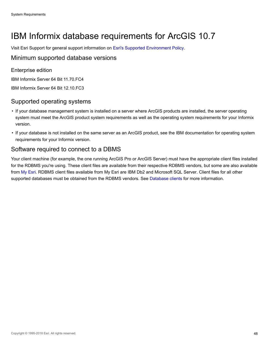# IBM Informix database requirements for ArcGIS 10.7

Visit Esri Support for general support information on [Esri's Supported Environment Policy.](http://support.esri.com/en/content/supportedenvironmentpolicy)

### Minimum supported database versions

Enterprise edition

IBM Informix Server 64 Bit 11.70.FC4

IBM Informix Server 64 Bit 12.10.FC3

# Supported operating systems

- If your database management system is installed on a server where ArcGIS products are installed, the server operating system must meet the ArcGIS product system requirements as well as the operating system requirements for your Informix version.
- If your database is not installed on the same server as an ArcGIS product, see the IBM documentation for operating system requirements for your Informix version.

# Software required to connect to a DBMS

Your client machine (for example, the one running ArcGIS Pro or ArcGIS Server) must have the appropriate client files installed for the RDBMS you're using. These client files are available from their respective RDBMS vendors, but some are also available from [My Esri](https://my.esri.com/). RDBMS client files available from My Esri are IBM Db2 and Microsoft SQL Server. Client files for all other supported databases must be obtained from the RDBMS vendors. See [Database clients](http://desktop.arcgis.com/en/arcmap/latest/manage-data/databases/database-clients.htm) for more information.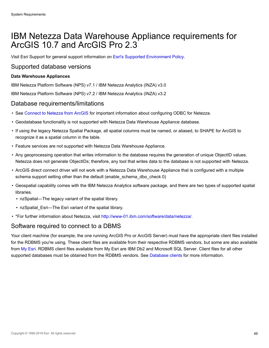# IBM Netezza Data Warehouse Appliance requirements for ArcGIS 10.7 and ArcGIS Pro 2.3

Visit Esri Support for general support information on [Esri's Supported Environment Policy.](http://support.esri.com/en/content/supportedenvironmentpolicy)

#### Supported database versions

#### **Data Warehouse Appliances**

IBM Netezza Platform Software (NPS) v7.1 / IBM Netezza Analytics (INZA) v3.0

IBM Netezza Platform Software (NPS) v7.2 / IBM Netezza Analytics (INZA) v3.2

#### Database requirements/limitations

- See [Connect to Netezza from ArcGIS](http://desktop.arcgis.com/en/arcmap/latest/manage-data/databases/connect-netezza.htm) for important information about configuring ODBC for Netezza.
- Geodatabase functionality is not supported with Netezza Data Warehouse Appliance database.
- If using the legacy Netezza Spatial Package, all spatial columns must be named, or aliased, to SHAPE for ArcGIS to recognize it as a spatial column in the table.
- Feature services are not supported with Netezza Data Warehouse Appliance.
- Any geoprocessing operation that writes information to the database requires the generation of unique ObjectID values. Netezza does not generate ObjectIDs; therefore, any tool that writes data to the database is not supported with Netezza.
- ArcGIS direct connect driver will not work with a Netezza Data Warehouse Appliance that is configured with a multiple schema support setting other than the default (enable schema dbo check 0)
- Geospatial capability comes with the IBM Netezza Analytics software package, and there are two types of supported spatial libraries.
	- nzSpatial—The legacy variant of the spatial library.
	- nzSpatial\_Esri—The Esri variant of the spatial library.
- \*For further information about Netezza, visit [http://www-01.ibm.com/software/data/netezza/.](http://www-01.ibm.com/software/data/netezza/)

### Software required to connect to a DBMS

Your client machine (for example, the one running ArcGIS Pro or ArcGIS Server) must have the appropriate client files installed for the RDBMS you're using. These client files are available from their respective RDBMS vendors, but some are also available from [My Esri](https://my.esri.com/). RDBMS client files available from My Esri are IBM Db2 and Microsoft SQL Server. Client files for all other supported databases must be obtained from the RDBMS vendors. See [Database clients](http://desktop.arcgis.com/en/arcmap/latest/manage-data/databases/database-clients.htm) for more information.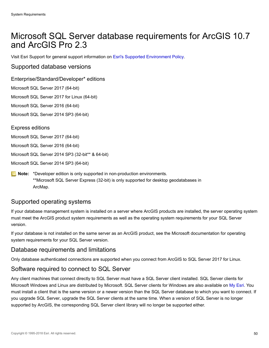# Microsoft SQL Server database requirements for ArcGIS 10.7 and ArcGIS Pro 2.3

Visit Esri Support for general support information on [Esri's Supported Environment Policy.](http://support.esri.com/en/content/supportedenvironmentpolicy)

#### Supported database versions

#### Enterprise/Standard/Developer\* editions

Microsoft SQL Server 2017 (64-bit)

Microsoft SQL Server 2017 for Linux (64-bit)

Microsoft SQL Server 2016 (64-bit)

Microsoft SQL Server 2014 SP3 (64-bit)

#### Express editions

Microsoft SQL Server 2017 (64-bit)

Microsoft SQL Server 2016 (64-bit)

Microsoft SQL Server 2014 SP3 (32-bit\*\* & 64-bit)

Microsoft SQL Server 2014 SP3 (64-bit)

**Note:** \*Developer edition is only supported in non-production environments. \*\*Microsoft SQL Server Express (32-bit) is only supported for desktop geodatabases in ArcMap.

### Supported operating systems

If your database management system is installed on a server where ArcGIS products are installed, the server operating system must meet the ArcGIS product system requirements as well as the operating system requirements for your SQL Server version.

If your database is not installed on the same server as an ArcGIS product, see the Microsoft documentation for operating system requirements for your SQL Server version.

### Database requirements and limitations

Only database authenticated connections are supported when you connect from ArcGIS to SQL Server 2017 for Linux.

### Software required to connect to SQL Server

Any client machines that connect directly to SQL Server must have a SQL Server client installed. SQL Server clients for Microsoft Windows and Linux are distributed by Microsoft. SQL Server clients for Windows are also available on [My Esri](https://my.esri.com/). You must install a client that is the same version or a newer version than the SQL Server database to which you want to connect. If you upgrade SQL Server, upgrade the SQL Server clients at the same time. When a version of SQL Server is no longer supported by ArcGIS, the corresponding SQL Server client library will no longer be supported either.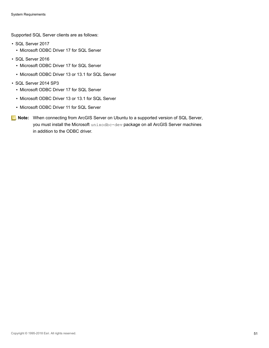Supported SQL Server clients are as follows:

- SQL Server 2017
	- Microsoft ODBC Driver 17 for SQL Server
- SQL Server 2016
	- Microsoft ODBC Driver 17 for SQL Server
	- Microsoft ODBC Driver 13 or 13.1 for SQL Server
- SQL Server 2014 SP3
	- Microsoft ODBC Driver 17 for SQL Server
	- Microsoft ODBC Driver 13 or 13.1 for SQL Server
	- Microsoft ODBC Driver 11 for SQL Server
- **Note:** When connecting from ArcGIS Server on Ubuntu to a supported version of SQL Server, you must install the Microsoft unixodbc-dev package on all ArcGIS Server machines in addition to the ODBC driver.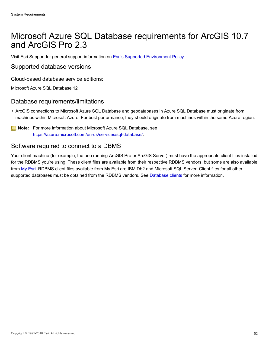# Microsoft Azure SQL Database requirements for ArcGIS 10.7 and ArcGIS Pro 2.3

Visit Esri Support for general support information on [Esri's Supported Environment Policy.](http://support.esri.com/en/content/supportedenvironmentpolicy)

#### Supported database versions

Cloud-based database service editions:

Microsoft Azure SQL Database 12

#### Database requirements/limitations

• ArcGIS connections to Microsoft Azure SQL Database and geodatabases in Azure SQL Database must originate from machines within Microsoft Azure. For best performance, they should originate from machines within the same Azure region.

**Note:** For more information about Microsoft Azure SQL Database, see <https://azure.microsoft.com/en-us/services/sql-database/>.

#### Software required to connect to a DBMS

Your client machine (for example, the one running ArcGIS Pro or ArcGIS Server) must have the appropriate client files installed for the RDBMS you're using. These client files are available from their respective RDBMS vendors, but some are also available from [My Esri](https://my.esri.com/). RDBMS client files available from My Esri are IBM Db2 and Microsoft SQL Server. Client files for all other supported databases must be obtained from the RDBMS vendors. See [Database clients](http://desktop.arcgis.com/en/arcmap/latest/manage-data/databases/database-clients.htm) for more information.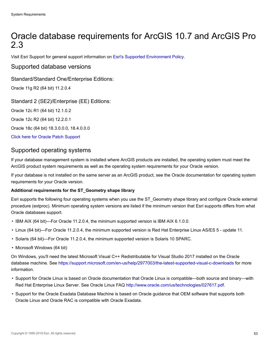# Oracle database requirements for ArcGIS 10.7 and ArcGIS Pro 2.3

Visit Esri Support for general support information on [Esri's Supported Environment Policy.](http://support.esri.com/en/content/supportedenvironmentpolicy)

#### Supported database versions

Standard/Standard One/Enterprise Editions:

Oracle 11g R2 (64 bit) 11.2.0.4

Standard 2 (SE2)/Enterprise (EE) Editions:

Oracle 12c R1 (64 bit) 12.1.0.2

Oracle 12c R2 (64 bit) 12.2.0.1

Oracle 18c (64 bit) 18.3.0.0.0, 18.4.0.0.0

[Click here for Oracle Patch Support](#page-53-0)

#### Supported operating systems

If your database management system is installed where ArcGIS products are installed, the operating system must meet the ArcGIS product system requirements as well as the operating system requirements for your Oracle version.

If your database is not installed on the same server as an ArcGIS product, see the Oracle documentation for operating system requirements for your Oracle version.

#### **Additional requirements for the ST\_Geometry shape library**

Esri supports the following four operating systems when you use the ST\_Geometry shape library and configure Oracle external procedure (extproc). Minimum operating system versions are listed if the minimum version that Esri supports differs from what Oracle databases support.

- IBM AIX (64 bit)—For Oracle 11.2.0.4, the minimum supported version is IBM AIX 6.1.0.0.
- Linux (64 bit)—For Oracle 11.2.0.4, the minimum supported version is Red Hat Enterprise Linux AS/ES 5 update 11.
- Solaris (64 bit)—For Oracle 11.2.0.4, the minimum supported version is Solaris 10 SPARC.
- Microsoft Windows (64 bit)

On Windows, you'll need the latest Microsoft Visual C++ Redistributable for Visual Studio 2017 installed on the Oracle database machine. See <https://support.microsoft.com/en-us/help/2977003/the-latest-supported-visual-c-downloads> for more information.

- Support for Oracle Linux is based on Oracle documentation that Oracle Linux is compatible—both source and binary—with Red Hat Enterprise Linux Server. See Oracle Linux FAQ [http://www.oracle.com/us/technologies/027617.pdf.](http://www.oracle.com/us/technologies/027617.pdf)
- Support for the Oracle Exadata Database Machine is based on Oracle guidance that OEM software that supports both Oracle Linux and Oracle RAC is compatible with Oracle Exadata.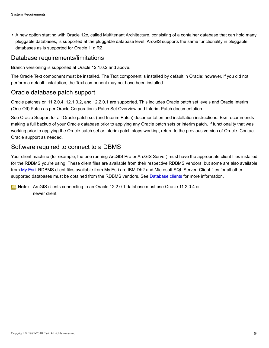• A new option starting with Oracle 12c, called Multitenant Architecture, consisting of a container database that can hold many pluggable databases, is supported at the pluggable database level. ArcGIS supports the same functionality in pluggable databases as is supported for Oracle 11g R2.

#### Database requirements/limitations

Branch versioning is supported at Oracle 12.1.0.2 and above.

The Oracle Text component must be installed. The Text component is installed by default in Oracle; however, if you did not perform a default installation, the Text component may not have been installed.

### <span id="page-53-0"></span>Oracle database patch support

Oracle patches on 11.2.0.4, 12.1.0.2, and 12.2.0.1 are supported. This includes Oracle patch set levels and Oracle Interim (One-Off) Patch as per Oracle Corporation's Patch Set Overview and Interim Patch documentation.

See Oracle Support for all Oracle patch set (and Interim Patch) documentation and installation instructions. Esri recommends making a full backup of your Oracle database prior to applying any Oracle patch sets or interim patch. If functionality that was working prior to applying the Oracle patch set or interim patch stops working, return to the previous version of Oracle. Contact Oracle support as needed.

### Software required to connect to a DBMS

Your client machine (for example, the one running ArcGIS Pro or ArcGIS Server) must have the appropriate client files installed for the RDBMS you're using. These client files are available from their respective RDBMS vendors, but some are also available from [My Esri](https://my.esri.com/). RDBMS client files available from My Esri are IBM Db2 and Microsoft SQL Server. Client files for all other supported databases must be obtained from the RDBMS vendors. See [Database clients](http://desktop.arcgis.com/en/arcmap/latest/manage-data/databases/database-clients.htm) for more information.

**Note:** ArcGIS clients connecting to an Oracle 12.2.0.1 database must use Oracle 11.2.0.4 or newer client.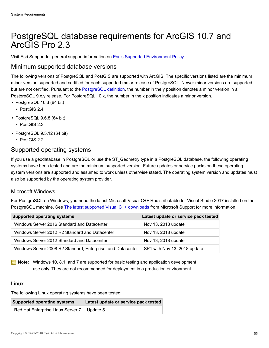# PostgreSQL database requirements for ArcGIS 10.7 and ArcGIS Pro 2.3

Visit Esri Support for general support information on [Esri's Supported Environment Policy.](http://support.esri.com/en/content/supportedenvironmentpolicy)

#### Minimum supported database versions

The following versions of PostgreSQL and PostGIS are supported with ArcGIS. The specific versions listed are the minimum minor version supported and certified for each supported major release of PostgreSQL. Newer minor versions are supported but are not certified. Pursuant to the [PostgreSQL definition](https://www.postgresql.org/support/versioning/), the number in the y position denotes a minor version in a PostgreSQL 9.x.y release. For PostgreSQL 10.x, the number in the x position indicates a minor version.

- PostgreSQL 10.3 (64 bit)
	- PostGIS 2.4
- PostgreSQL 9.6.8 (64 bit)
	- PostGIS 2.3
- PostgreSQL 9.5.12 (64 bit)
	- PostGIS 2.2

#### Supported operating systems

If you use a geodatabase in PostgreSQL or use the ST\_Geometry type in a PostgreSQL database, the following operating systems have been tested and are the minimum supported version. Future updates or service packs on these operating system versions are supported and assumed to work unless otherwise stated. The operating system version and updates must also be supported by the operating system provider.

#### Microsoft Windows

For PostgreSQL on Windows, you need the latest Microsoft Visual C++ Redistributable for Visual Studio 2017 installed on the PostgreSQL machine. See [The latest supported Visual C++ downloads](https://support.microsoft.com/en-us/help/2977003/the-latest-supported-visual-c-downloads) from Microsoft Support for more information.

| <b>Supported operating systems</b>                          | Latest update or service pack tested |
|-------------------------------------------------------------|--------------------------------------|
| Windows Server 2016 Standard and Datacenter                 | Nov 13, 2018 update                  |
| Windows Server 2012 R2 Standard and Datacenter              | Nov 13, 2018 update                  |
| Windows Server 2012 Standard and Datacenter                 | Nov 13, 2018 update                  |
| Windows Server 2008 R2 Standard, Enterprise, and Datacenter | SP1 with Nov 13, 2018 update         |

**Note:** Windows 10, 8.1, and 7 are supported for basic testing and application development use only. They are not recommended for deployment in a production environment.

#### Linux

The following Linux operating systems have been tested:

| <b>Supported operating systems</b>           | Latest update or service pack tested |
|----------------------------------------------|--------------------------------------|
| Red Hat Enterprise Linux Server 7   Update 5 |                                      |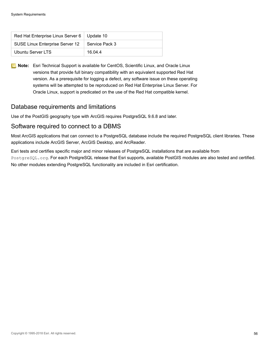| Red Hat Enterprise Linux Server 6   Update 10 |                |
|-----------------------------------------------|----------------|
| SUSE Linux Enterprise Server 12               | Service Pack 3 |
| Ubuntu Server LTS                             | 16.04.4        |

**Note:** Esri Technical Support is available for CentOS, Scientific Linux, and Oracle Linux versions that provide full binary compatibility with an equivalent supported Red Hat version. As a prerequisite for logging a defect, any software issue on these operating systems will be attempted to be reproduced on Red Hat Enterprise Linux Server. For Oracle Linux, support is predicated on the use of the Red Hat compatible kernel.

# Database requirements and limitations

Use of the PostGIS geography type with ArcGIS requires PostgreSQL 9.6.8 and later.

#### Software required to connect to a DBMS

Most ArcGIS applications that can connect to a PostgreSQL database include the required PostgreSQL client libraries. These applications include ArcGIS Server, ArcGIS Desktop, and ArcReader.

Esri tests and certifies specific major and minor releases of PostgreSQL installations that are available from PostgreSQL.org. For each PostgreSQL release that Esri supports, available PostGIS modules are also tested and certified. No other modules extending PostgreSQL functionality are included in Esri certification.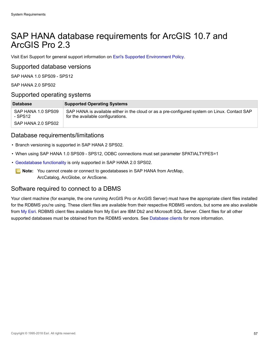# SAP HANA database requirements for ArcGIS 10.7 and ArcGIS Pro 2.3

Visit Esri Support for general support information on [Esri's Supported Environment Policy.](http://support.esri.com/en/content/supportedenvironmentpolicy)

#### Supported database versions

SAP HANA 1.0 SPS09 - SPS12

SAP HANA 2.0 SPS02

#### Supported operating systems

| <b>Database</b>               | <b>Supported Operating Systems</b>                                                                                                 |
|-------------------------------|------------------------------------------------------------------------------------------------------------------------------------|
| SAP HANA 1.0 SPS09<br>- SPS12 | SAP HANA is available either in the cloud or as a pre-configured system on Linux. Contact SAP<br>for the available configurations. |
| SAP HANA 2.0 SPS02            |                                                                                                                                    |

#### Database requirements/limitations

- Branch versioning is supported in SAP HANA 2 SPS02.
- When using SAP HANA 1.0 SPS09 SPS12, ODBC connections must set parameter SPATIALTYPES=1
- [Geodatabase functionality](http://pro.arcgis.com/en/pro-app/help/data/geodatabases/manage-saphana/overview-geodatabases-saphana.htm) is only supported in SAP HANA 2.0 SPS02.
	- **Note:** You cannot create or connect to geodatabases in SAP HANA from ArcMap, ArcCatalog, ArcGlobe, or ArcScene.

### Software required to connect to a DBMS

Your client machine (for example, the one running ArcGIS Pro or ArcGIS Server) must have the appropriate client files installed for the RDBMS you're using. These client files are available from their respective RDBMS vendors, but some are also available from [My Esri](https://my.esri.com/). RDBMS client files available from My Esri are IBM Db2 and Microsoft SQL Server. Client files for all other supported databases must be obtained from the RDBMS vendors. See [Database clients](http://desktop.arcgis.com/en/arcmap/latest/manage-data/databases/database-clients.htm) for more information.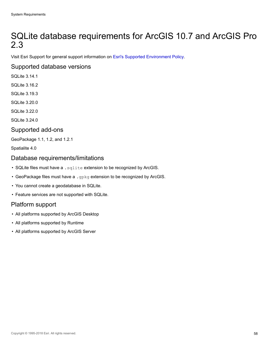# SQLite database requirements for ArcGIS 10.7 and ArcGIS Pro 2.3

Visit Esri Support for general support information on [Esri's Supported Environment Policy.](http://support.esri.com/en/content/supportedenvironmentpolicy)

# Supported database versions

- SQLite 3.14.1
- SQLite 3.16.2
- SQLite 3.19.3
- SQLite 3.20.0
- SQLite 3.22.0
- SQLite 3.24.0

#### Supported add-ons

GeoPackage 1.1, 1.2, and 1.2.1

Spatialite 4.0

#### Database requirements/limitations

- SQLite files must have a . sqlite extension to be recognized by ArcGIS.
- GeoPackage files must have a .gpkg extension to be recognized by ArcGIS.
- You cannot create a geodatabase in SQLite.
- Feature services are not supported with SQLite.

# Platform support

- All platforms supported by ArcGIS Desktop
- All platforms supported by Runtime
- All platforms supported by ArcGIS Server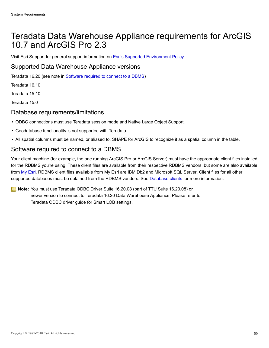# Teradata Data Warehouse Appliance requirements for ArcGIS 10.7 and ArcGIS Pro 2.3

Visit Esri Support for general support information on [Esri's Supported Environment Policy.](http://support.esri.com/en/content/supportedenvironmentpolicy)

### Supported Data Warehouse Appliance versions

Teradata 16.20 (see note in [Software required to connect to a DBMS\)](#page-58-0)

Teradata 16.10

Teradata 15.10

Teradata 15.0

#### Database requirements/limitations

- ODBC connections must use Teradata session mode and Native Large Object Support.
- Geodatabase functionality is not supported with Teradata.
- All spatial columns must be named, or aliased to, SHAPE for ArcGIS to recognize it as a spatial column in the table.

# <span id="page-58-0"></span>Software required to connect to a DBMS

Your client machine (for example, the one running ArcGIS Pro or ArcGIS Server) must have the appropriate client files installed for the RDBMS you're using. These client files are available from their respective RDBMS vendors, but some are also available from [My Esri](https://my.esri.com/). RDBMS client files available from My Esri are IBM Db2 and Microsoft SQL Server. Client files for all other supported databases must be obtained from the RDBMS vendors. See [Database clients](http://desktop.arcgis.com/en/arcmap/latest/manage-data/databases/database-clients.htm) for more information.

**Note:** You must use Teradata ODBC Driver Suite 16.20.08 (part of TTU Suite 16.20.08) or newer version to connect to Teradata 16.20 Data Warehouse Appliance. Please refer to Teradata ODBC driver guide for Smart LOB settings.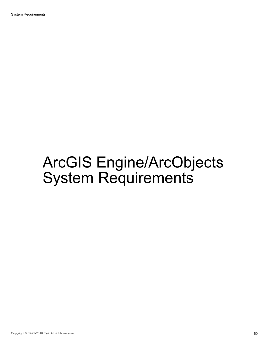# ArcGIS Engine/ArcObjects System Requirements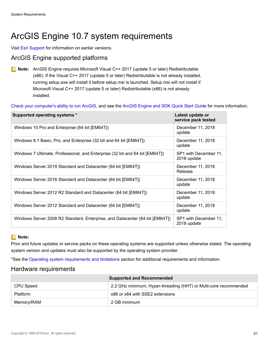# ArcGIS Engine 10.7 system requirements

Visit [Esri Support](http://resources.arcgis.com/en/help/previous-help/index.html) for information on earlier versions.

# ArcGIS Engine supported platforms

**Note:** ArcGIS Engine requires Microsoft Visual C++ 2017 (update 5 or later) Redistributable (x86). If the Visual C++ 2017 (update 5 or later) Redistributable is not already installed, running setup.exe will install it before setup.msi is launched. Setup.msi will not install if Microsoft Visual C++ 2017 (update 5 or later) Redistributable (x86) is not already installed.

[Check your computer's ability to run ArcGIS,](http://cyri.systemrequirementslab.com/client/standard/?apikey=50f41142-39b0-4061-97c2-ba7b7fe43d0e&refid=1186&item=10913) and see the [ArcGIS Engine and SDK Quick Start Guide](http://desktop.arcgis.com/en/quick-start-guides/latest/arcgis-engine-developer-kit-and-engine-quick-start-guide.htm) for more information.

| Supported operating systems *                                                | Latest update or<br>service pack tested |
|------------------------------------------------------------------------------|-----------------------------------------|
| Windows 10 Pro and Enterprise (64 bit [EM64T])                               | December 11, 2018<br>update             |
| Windows 8.1 Basic, Pro, and Enterprise (32 bit and 64 bit [EM64T])           | December 11, 2018<br>update             |
| Windows 7 Ultimate, Professional, and Enterprise (32 bit and 64 bit [EM64T]) | SP1 with December 11,<br>2018 update    |
| Windows Server 2019 Standard and Datacenter (64 bit [EM64T])                 | December 11, 2018<br>Release            |
| Windows Server 2016 Standard and Datacenter (64 bit [EM64T])                 | December 11, 2018<br>update             |
| Windows Server 2012 R2 Standard and Datacenter (64 bit [EM64T])              | December 11, 2018<br>update             |
| Windows Server 2012 Standard and Datacenter (64 bit [EM64T])                 | December 11, 2018<br>update             |
| Windows Server 2008 R2 Standard, Enterprise, and Datacenter (64 bit [EM64T]) | SP1 with December 11,<br>2018 update    |

#### **Note:**

Prior and future updates or service packs on these operating systems are supported unless otherwise stated. The operating system version and updates must also be supported by the operating system provider.

\*See the [Operating system requirements and limitations](#page-61-0) section for additional requirements and information.

#### Hardware requirements

|                 | <b>Supported and Recommended</b>                                 |
|-----------------|------------------------------------------------------------------|
| CPU Speed       | 2.2 GHz minimum; Hyper-threading (HHT) or Multi-core recommended |
| <b>Platform</b> | x86 or x64 with SSE2 extensions                                  |
| Memory/RAM      | 2 GB minimum                                                     |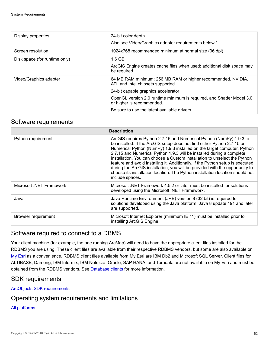| Display properties            | 24-bit color depth<br>Also see Video/Graphics adapter requirements below.*                                                                                                                                                                                                                     |
|-------------------------------|------------------------------------------------------------------------------------------------------------------------------------------------------------------------------------------------------------------------------------------------------------------------------------------------|
| Screen resolution             | 1024x768 recommended minimum at normal size (96 dpi)                                                                                                                                                                                                                                           |
| Disk space (for runtime only) | $1.6$ GB<br>ArcGIS Engine creates cache files when used; additional disk space may<br>be required.                                                                                                                                                                                             |
| Video/Graphics adapter        | 64 MB RAM minimum; 256 MB RAM or higher recommended. NVIDIA,<br>ATI, and Intel chipsets supported.<br>24-bit capable graphics accelerator<br>OpenGL version 2.0 runtime minimum is required, and Shader Model 3.0<br>or higher is recommended.<br>Be sure to use the latest available drivers. |

#### Software requirements

|                          | <b>Description</b>                                                                                                                                                                                                                                                                                                                                                                                                                                                                                                                                                                                                                                    |
|--------------------------|-------------------------------------------------------------------------------------------------------------------------------------------------------------------------------------------------------------------------------------------------------------------------------------------------------------------------------------------------------------------------------------------------------------------------------------------------------------------------------------------------------------------------------------------------------------------------------------------------------------------------------------------------------|
| Python requirement       | ArcGIS requires Python 2.7.15 and Numerical Python (NumPy) 1.9.3 to<br>be installed. If the ArcGIS setup does not find either Python 2.7.15 or<br>Numerical Python (NumPy) 1.9.3 installed on the target computer, Python<br>2.7.15 and Numerical Python 1.9.3 will be installed during a complete<br>installation. You can choose a Custom installation to unselect the Python<br>feature and avoid installing it. Additionally, if the Python setup is executed<br>during the ArcGIS installation, you will be provided with the opportunity to<br>choose its installation location. The Python installation location should not<br>include spaces. |
| Microsoft .NET Framework | Microsoft .NET Framework 4.5.2 or later must be installed for solutions<br>developed using the Microsoft .NET Framework.                                                                                                                                                                                                                                                                                                                                                                                                                                                                                                                              |
| Java                     | Java Runtime Environment (JRE) version 8 (32 bit) is required for<br>solutions developed using the Java platform; Java 8 update 191 and later<br>are supported.                                                                                                                                                                                                                                                                                                                                                                                                                                                                                       |
| Browser requirement      | Microsoft Internet Explorer (minimum IE 11) must be installed prior to<br>installing ArcGIS Engine.                                                                                                                                                                                                                                                                                                                                                                                                                                                                                                                                                   |

### Software required to connect to a DBMS

Your client machine (for example, the one running ArcMap) will need to have the appropriate client files installed for the RDBMS you are using. These client files are available from their respective RDBMS vendors, but some are also available on [My Esri](https://my.esri.com/) as a convenience. RDBMS client files available from My Esri are IBM Db2 and Microsoft SQL Server. Client files for ALTIBASE, Dameng, IBM Informix, IBM Netezza, Oracle, SAP HANA, and Teradata are not available on My Esri and must be obtained from the RDBMS vendors. See [Database clients](http://desktop.arcgis.com/en/arcmap/latest/manage-data/databases/database-clients.htm) for more information.

### SDK requirements

[ArcObjects SDK requirements](#page-63-0)

### <span id="page-61-0"></span>Operating system requirements and limitations

#### [All platforms](#page-66-0)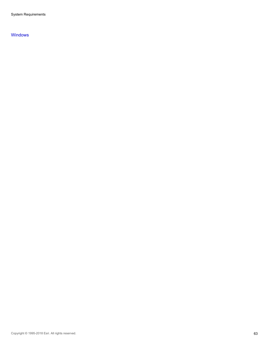System Requirements

#### [Windows](#page-67-0)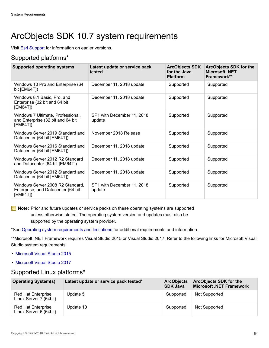# <span id="page-63-0"></span>ArcObjects SDK 10.7 system requirements

Visit [Esri Support](http://resources.arcgis.com/en/help/previous-help/index.html) for information on earlier versions.

# Supported platforms\*

| <b>Supported operating systems</b>                                                  | Latest update or service pack<br>tested | <b>ArcObjects SDK</b><br>for the Java<br><b>Platform</b> | <b>ArcObjects SDK for the</b><br><b>Microsoft .NET</b><br>Framework** |
|-------------------------------------------------------------------------------------|-----------------------------------------|----------------------------------------------------------|-----------------------------------------------------------------------|
| Windows 10 Pro and Enterprise (64<br>bit $[EM64T]$                                  | December 11, 2018 update                | Supported                                                | Supported                                                             |
| Windows 8.1 Basic, Pro, and<br>Enterprise (32 bit and 64 bit<br>[EM64T])            | December 11, 2018 update                | Supported                                                | Supported                                                             |
| Windows 7 Ultimate, Professional,<br>and Enterprise (32 bit and 64 bit<br>[EM64T])  | SP1 with December 11, 2018<br>update    | Supported                                                | Supported                                                             |
| Windows Server 2019 Standard and<br>Datacenter (64 bit [EM64T])                     | November 2018 Release                   | Supported                                                | Supported                                                             |
| Windows Server 2016 Standard and<br>Datacenter (64 bit [EM64T])                     | December 11, 2018 update                | Supported                                                | Supported                                                             |
| Windows Server 2012 R2 Standard<br>and Datacenter (64 bit [EM64T])                  | December 11, 2018 update                | Supported                                                | Supported                                                             |
| Windows Server 2012 Standard and<br>Datacenter (64 bit [EM64T])                     | December 11, 2018 update                | Supported                                                | Supported                                                             |
| Windows Server 2008 R2 Standard,<br>Enterprise, and Datacenter (64 bit)<br>[EM64T]) | SP1 with December 11, 2018<br>update    | Supported                                                | Supported                                                             |

**Note:** Prior and future updates or service packs on these operating systems are supported unless otherwise stated. The operating system version and updates must also be supported by the operating system provider.

\*See [Operating system requirements and limitations](#page-64-0) for additional requirements and information.

\*\*Microsoft .NET Framework requires Visual Studio 2015 or Visual Studio 2017. Refer to the following links for Microsoft Visual Studio system requirements:

- [Microsoft Visual Studio 2015](https://www.visualstudio.com/en-us/productinfo/vs2015-sysrequirements-vs)
- [Microsoft Visual Studio 2017](https://www.visualstudio.com/en-us/productinfo/vs2017-system-requirements-vs)

### Supported Linux platforms\*

| <b>Operating System(s)</b>                          | Latest update or service pack tested* | <b>ArcObjects</b><br><b>SDK Java</b> | <b>ArcObjects SDK for the</b><br><b>Microsoft .NET Framework</b> |
|-----------------------------------------------------|---------------------------------------|--------------------------------------|------------------------------------------------------------------|
| <b>Red Hat Enterprise</b><br>Linux Server 7 (64bit) | Update 5                              | Supported                            | Not Supported                                                    |
| <b>Red Hat Enterprise</b><br>Linux Server 6 (64bit) | Update 10                             | Supported                            | Not Supported                                                    |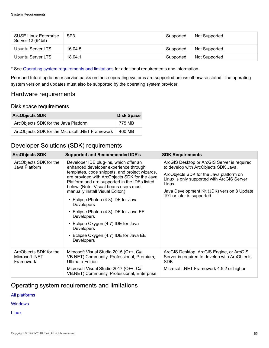| <b>SUSE Linux Enterprise</b><br>Server 12 (64bit) | SP <sub>3</sub> | Supported | Not Supported |
|---------------------------------------------------|-----------------|-----------|---------------|
| Ubuntu Server LTS                                 | 16.04.5         | Supported | Not Supported |
| Ubuntu Server LTS                                 | 18.04.1         | Supported | Not Supported |

\* See [Operating system requirements and limitations](#page-64-0) for additional requirements and information.

Prior and future updates or service packs on these operating systems are supported unless otherwise stated. The operating system version and updates must also be supported by the operating system provider.

### Hardware requirements

#### Disk space requirements

| <b>ArcObjects SDK</b>                           | <b>Disk Space</b> |
|-------------------------------------------------|-------------------|
| ArcObjects SDK for the Java Platform            | 775 MB            |
| ArcObjects SDK for the Microsoft .NET Framework | 460 MB            |

# Developer Solutions (SDK) requirements

| <b>ArcObjects SDK</b>                                 | <b>Supported and Recommended IDE's</b>                                                                                                                                                                                                                                                                                                                                                                                                                                                                                                                                 | <b>SDK Requirements</b>                                                                                                                                                                                                                                             |
|-------------------------------------------------------|------------------------------------------------------------------------------------------------------------------------------------------------------------------------------------------------------------------------------------------------------------------------------------------------------------------------------------------------------------------------------------------------------------------------------------------------------------------------------------------------------------------------------------------------------------------------|---------------------------------------------------------------------------------------------------------------------------------------------------------------------------------------------------------------------------------------------------------------------|
| ArcObjects SDK for the<br>Java Platform               | Developer IDE plug-ins, which offer an<br>enhanced developer experience through<br>templates, code snippets, and project wizards,<br>are provided with ArcObjects SDK for the Java<br>Platform and are supported in the IDEs listed<br>below. (Note: Visual beans users must<br>manually install Visual Editor.)<br>• Eclipse Photon (4.8) IDE for Java<br><b>Developers</b><br>• Eclipse Photon (4.8) IDE for Java EE<br><b>Developers</b><br>• Eclipse Oxygen (4.7) IDE for Java<br><b>Developers</b><br>• Eclipse Oxygen (4.7) IDE for Java EE<br><b>Developers</b> | ArcGIS Desktop or ArcGIS Server is required<br>to develop with ArcObjects SDK Java.<br>ArcObjects SDK for the Java platform on<br>Linux is only supported with ArcGIS Server<br>Linux.<br>Java Development Kit (JDK) version 8 Update<br>191 or later is supported. |
| ArcObjects SDK for the<br>Microsoft .NET<br>Framework | Microsoft Visual Studio 2015 (C++, C#,<br>VB.NET) Community, Professional, Premium,<br><b>Ultimate Edition</b><br>Microsoft Visual Studio 2017 (C++, C#,<br>VB.NET) Community, Professional, Enterprise                                                                                                                                                                                                                                                                                                                                                                | ArcGIS Desktop, ArcGIS Engine, or ArcGIS<br>Server is required to develop with ArcObjects<br><b>SDK</b><br>Microsoft .NET Framework 4.5.2 or higher                                                                                                                 |

# <span id="page-64-0"></span>Operating system requirements and limitations

#### [All platforms](#page-66-0)

#### **[Windows](#page-67-0)**

**[Linux](#page-68-0)**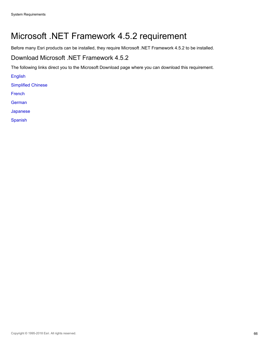# Microsoft .NET Framework 4.5.2 requirement

Before many Esri products can be installed, they require Microsoft .NET Framework 4.5.2 to be installed.

### Download Microsoft .NET Framework 4.5.2

The following links direct you to the Microsoft Download page where you can download this requirement.

[English](https://www.microsoft.com/en-us/download/details.aspx?id=42642)

[Simplified Chinese](https://www.microsoft.com/zh-CN/download/details.aspx?id=42643)

[French](https://www.microsoft.com/fr-FR/download/details.aspx?id=42643)

[German](http://www.microsoft.com/de-DE/download/details.aspx?id=30667)

[Japanese](https://www.microsoft.com/ja-JP/download/details.aspx?id=42643)

[Spanish](http://www.microsoft.com/es-ES/download/details.aspx?id=30667)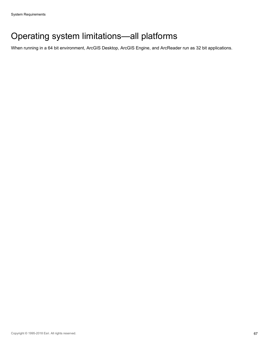# <span id="page-66-0"></span>Operating system limitations—all platforms

When running in a 64 bit environment, ArcGIS Desktop, ArcGIS Engine, and ArcReader run as 32 bit applications.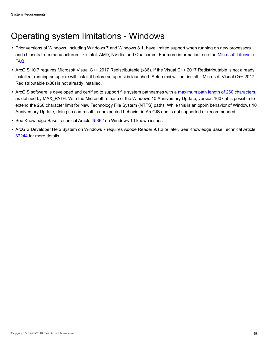# <span id="page-67-0"></span>Operating system limitations - Windows

- Prior versions of Windows, including Windows 7 and Windows 8.1, have limited support when running on new processors and chipsets from manufacturers like Intel, AMD, NVidia, and Qualcomm. For more information, see the [Microsoft Lifecycle](https://support.microsoft.com/en-us/help/18581/lifecycle-faq-windows-products?forceorigin=esmc) [FAQ](https://support.microsoft.com/en-us/help/18581/lifecycle-faq-windows-products?forceorigin=esmc).
- ArcGIS 10.7 requires Microsoft Visual C++ 2017 Redistributable (x86). If the Visual C++ 2017 Redistributable is not already installed, running setup.exe will install it before setup.msi is launched. Setup.msi will not install if Microsoft Visual C++ 2017 Redistributable (x86) is not already installed.
- ArcGIS software is developed and certified to support file system pathnames with a [maximum path length of 260 characters](https://msdn.microsoft.com/library/windows/desktop/aa365247.aspx#maxpath), as defined by MAX\_PATH. With the Microsoft release of the Windows 10 Anniversary Update, version 1607, it is possible to extend the 260 character limit for New Technology File System (NTFS) paths. While this is an opt-in behavior of Windows 10 Anniversary Update, doing so can result in unexpected behavior in ArcGIS and is not supported or recommended.
- See Knowledge Base Technical Article [45362](http://support.esri.com/en/knowledgebase/techarticles/detail/45362) on Windows 10 known issues
- ArcGIS Developer Help System on Windows 7 requires Adobe Reader 9.1.2 or later. See Knowledge Base Technical Article [37244](http://support.esri.com/en/knowledgebase/techarticles/detail/37244) for more details.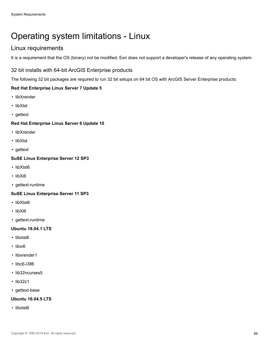# <span id="page-68-0"></span>Operating system limitations - Linux

# Linux requirements

It is a requirement that the OS (binary) not be modified. Esri does not support a developer's release of any operating system.

#### 32 bit installs with 64-bit ArcGIS Enterprise products

The following 32 bit packages are required to run 32 bit setups on 64 bit OS with ArcGIS Server Enterprise products:

#### **Red Hat Enterprise Linux Server 7 Update 5**

- libXrender
- libXtst
- gettext

#### **Red Hat Enterprise Linux Server 6 Update 10**

- libXrender
- libXtst
- gettext

#### **SuSE Linux Enterprise Server 12 SP3**

- libXtst6
- libXi6
- gettext-runtime

#### **SuSE Linux Enterprise Server 11 SP3**

- libXtst6
- libXi6
- gettext-runtime

#### **Ubuntu 18.04.1 LTS**

- libxtst6
- libxi6
- libxrender1
- libc6-i386
- lib32ncurses5
- lib32z1
- gettext-base

#### **Ubuntu 16.04.5 LTS**

• libxtst6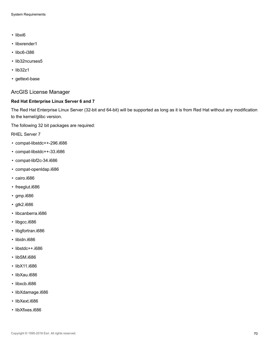- libxi6
- libxrender1
- libc6-i386
- lib32ncurses5
- lib32z1
- gettext-base

#### ArcGIS License Manager

#### **Red Hat Enterprise Linux Server 6 and 7**

The Red Hat Enterprise Linux Server (32-bit and 64-bit) will be supported as long as it is from Red Hat without any modification to the kernel/glibc version.

The following 32 bit packages are required:

RHEL Server 7

- compat-libstdc++-296.i686
- compat-libstdc++-33.i686
- compat-libf2c-34.i686
- compat-openldap.i686
- cairo.i686
- freeglut.i686
- gmp.i686
- gtk2.i686
- libcanberra.i686
- libgcc.i686
- libgfortran.i686
- libidn.i686
- libstdc++.i686
- libSM.i686
- libX11.i686
- libXau.i686
- libxcb.i686
- libXdamage.i686
- libXext.i686
- libXfixes.i686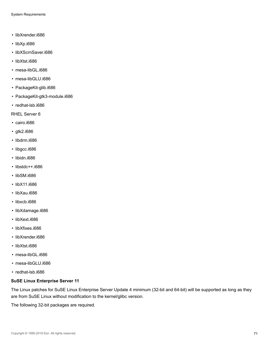- libXrender.i686
- libXp.i686
- libXScrnSaver.i686
- libXtst.i686
- mesa-libGL.i686
- mesa-libGLU.i686
- PackageKit-glib.i686
- PackageKit-gtk3-module.i686
- redhat-lsb.i686

RHEL Server 6

- cairo.i686
- gtk2.i686
- libdrm.i686
- libgcc.i686
- libidn.i686
- libstdc++.i686
- libSM.i686
- libX11.i686
- libXau.i686
- libxcb.i686
- libXdamage.i686
- libXext.i686
- libXfixes.i686
- libXrender.i686
- libXtst.i686
- mesa-libGL.i686
- mesa-libGLU.i686
- redhat-lsb.i686

#### **SuSE Linux Enterprise Server 11**

The Linux patches for SuSE Linux Enterprise Server Update 4 minimum (32-bit and 64-bit) will be supported as long as they are from SuSE Linux without modification to the kernel/glibc version.

The following 32-bit packages are required.